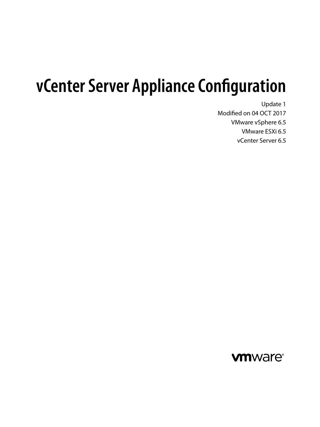# **vCenter Server Appliance Configuration**

Update 1 Modified on 04 OCT 2017 VMware vSphere 6.5 VMware ESXi 6.5 vCenter Server 6.5

**vm**ware<sup>®</sup>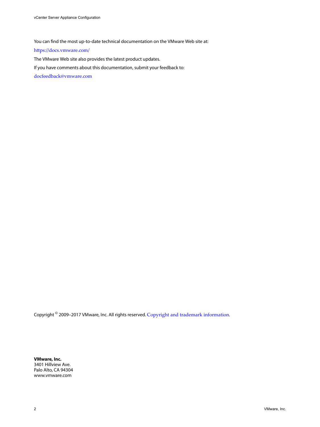You can find the most up-to-date technical documentation on the VMware Web site at:

https://docs.vmware.com/

The VMware Web site also provides the latest product updates.

If you have comments about this documentation, submit your feedback to:

[docfeedback@vmware.com](mailto:docfeedback@vmware.com)

Copyright  $^\circ$  2009–2017 VMware, Inc. All rights reserved.  $\bigcirc$ opyright and trademark information.

**VMware, Inc.** 3401 Hillview Ave. Palo Alto, CA 94304 www.vmware.com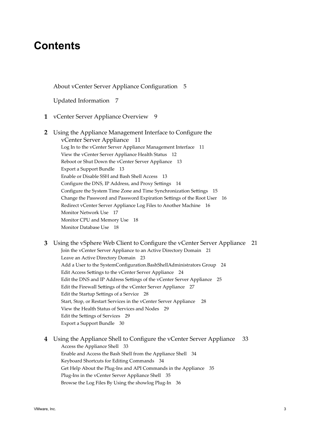# **Contents**

[About vCenter Server Appliance Configuration](#page-4-0) 5

[Updated Information 7](#page-6-0)

**1** [vCenter Server Appliance Overview 9](#page-8-0)

**2** [Using the Appliance Management Interface to Configure the](#page-10-0) vCenter Server Appliance 11 Lo[g In to the vCenter Server Appliance Management Interface 11](#page-10-0) Vie[w the vCenter Server Appliance Health Status 12](#page-11-0) Re[boot or Shut Down the vCenter Server Appliance 13](#page-12-0) Ex[port a Support Bundle 13](#page-12-0) En[able or Disable SSH and Bash Shell Access 13](#page-12-0) Configure the DNS, IP Address, and Proxy Settings 14 Configure the System Time Zone and Time Synchronization Settings 15 Change the Password and Password Expiration Settings of the Root User 16 Re[direct vCenter Server Appliance Log Files to Another Machine 16](#page-15-0) Mo[nitor Network Use 17](#page-16-0) Mo[nitor CPU and Memory Use 18](#page-17-0) Mo[nitor Database Use 18](#page-17-0)

- **3** [Using the vSphere Web Client to Configure the vCenter Server Appliance 21](#page-20-0) Joi[n the vCenter Server Appliance to an Active Directory Domain 21](#page-20-0) Lea[ve an Active Directory Domain 23](#page-22-0) Add a User to the SystemConfiguration.BashShellAdministrators Group 24 Edit Access Settings to the vCenter Server Appliance 24 Edit the DNS and IP Address Settings of the vCenter Server Appliance 25 Edit the Firewall Settings of the vCenter Server Appliance 27 Edit the Startup Settings of a Service 28 Sta[rt, Stop, or Restart Services in the vCenter Server Appliance 28](#page-27-0) Vie[w the Health Status of Services and Nodes 29](#page-28-0) Edit the Settings of Services 29 Ex[port a Support Bundle 30](#page-29-0)
- **4** [Using the Appliance Shell to Configure the vCenter Server Appliance 33](#page-32-0) Ac[cess the Appliance Shell 33](#page-32-0) En[able and Access the Bash Shell from the Appliance Shell 34](#page-33-0) Ke[yboard Shortcuts for Editing Commands 34](#page-33-0) Get [Help About the Plug-Ins and API Commands in the Appliance 35](#page-34-0) Plu[g-Ins in the vCenter Server Appliance Shell 35](#page-34-0) Bro[wse the Log Files By Using the showlog Plug-In 36](#page-35-0)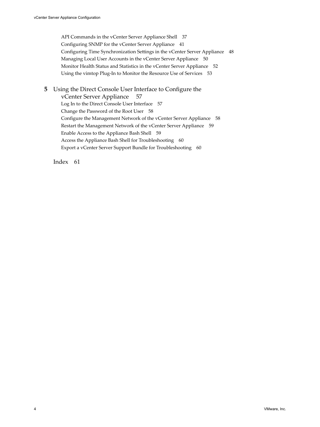AP[I Commands in the vCenter Server Appliance Shell 37](#page-36-0) Co[nfiguring SNMP for the vCenter Server Appliance 41](#page-40-0) Configuring Time Synchronization Settings in the vCenter Server Appliance 48 Ma[naging Local User Accounts in the vCenter Server Appliance 50](#page-49-0) Mo[nitor Health Status and Statistics in the vCenter Server Appliance 52](#page-51-0) Usi[ng the vimtop Plug-In to Monitor the Resource Use of Services 53](#page-52-0)

**5** [Using the Direct Console User Interface to Configure the](#page-56-0) vCenter Server Appliance 57 Lo[g In to the Direct Console User Interface 57](#page-56-0) Ch[ange the Password of the Root User 58](#page-57-0) Co[nfigure the Management Network of the vCenter Server Appliance 58](#page-57-0) Res[tart the Management Network of the vCenter Server Appliance 59](#page-58-0) En[able Access to the Appliance Bash Shell 59](#page-58-0) Ac[cess the Appliance Bash Shell for Troubleshooting 60](#page-59-0) Ex[port a vCenter Server Support Bundle for Troubleshooting 60](#page-59-0)

[Index 61](#page-60-0)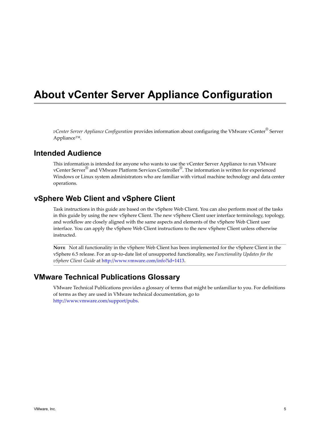# <span id="page-4-0"></span>**About vCenter Server Appliance Configuration**

vCenter Server Appliance Configuration provides information about configuring the VMware vCenter<sup>®</sup> Server Appliance™.

## **Intended Audience**

This information is intended for anyone who wants to use the vCenter Server Appliance to run VMware vCenter Server<sup>®</sup> and VMware Platform Services Controller<sup>®</sup>. The information is written for experienced Windows or Linux system administrators who are familiar with virtual machine technology and data center operations.

## **vSphere Web Client and vSphere Client**

Task instructions in this guide are based on the vSphere Web Client. You can also perform most of the tasks in this guide by using the new vSphere Client. The new vSphere Client user interface terminology, topology, and workflow are closely aligned with the same aspects and elements of the vSphere Web Client user interface. You can apply the vSphere Web Client instructions to the new vSphere Client unless otherwise instructed.

Nore Not all functionality in the vSphere Web Client has been implemented for the vSphere Client in the vSphere 6.5 release. For an up-to-date list of unsupported functionality, see *Functionality Updates for the vSphere Client Guide* at http://www.vmware.com/info?id=1413.

# **VMware Technical Publications Glossary**

VMware Technical Publications provides a glossary of terms that might be unfamiliar to you. For definitions of terms as they are used in VMware technical documentation, go to http://www.vmware.com/support/pubs.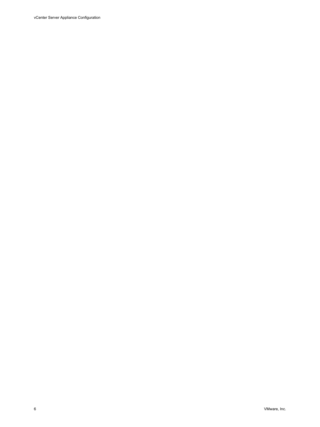vCenter Server Appliance Configuration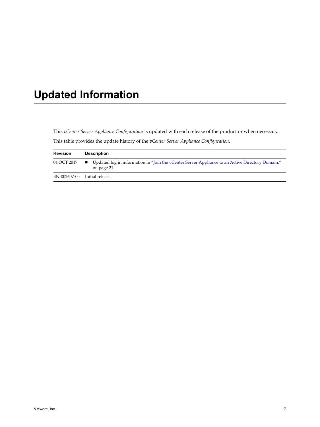# <span id="page-6-0"></span>**Updated Information**

This *vCenter Server Appliance Configuration* is updated with each release of the product or when necessary.

This table provides the update history of the *vCenter Server Appliance Configuration*.

| <b>Revision</b>               | <b>Description</b>                                                                                               |
|-------------------------------|------------------------------------------------------------------------------------------------------------------|
| 04 OCT 2017                   | ■ Updated log in information in "Join the vCenter Server Appliance to an Active Directory Domain,"<br>on page 21 |
| EN-002607-00 Initial release. |                                                                                                                  |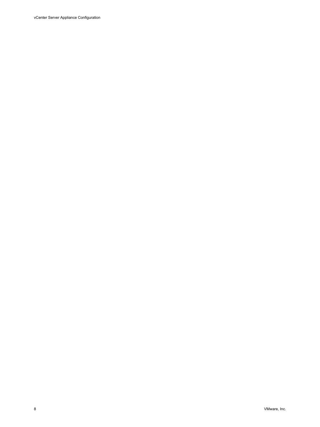vCenter Server Appliance Configuration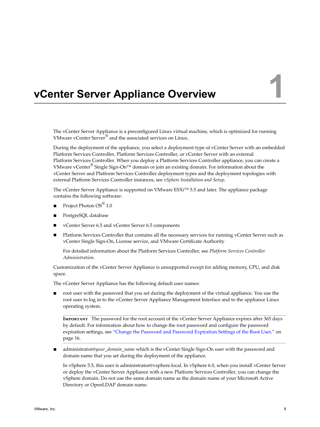# <span id="page-8-0"></span>**vCenter Server Appliance Overview 1**

The vCenter Server Appliance is a preconfigured Linux virtual machine, which is optimized for running VMware vCenter Server® and the associated services on Linux.

During the deployment of the appliance, you select a deployment type of vCenter Server with an embedded Platform Services Controller, Platform Services Controller, or vCenter Server with an external Platform Services Controller. When you deploy a Platform Services Controller appliance, you can create a VMware vCenter® Single Sign-On™ domain or join an existing domain. For information about the vCenter Server and Platform Services Controller deployment types and the deployment topologies with external Platform Services Controller instances, see *vSphere Installation and Setup*.

The vCenter Server Appliance is supported on VMware ESXi™ 5.5 and later. The appliance package contains the following software:

- **n** Project Photon OS $^{\circledR}$  1.0
- PostgreSQL database
- vCenter Server 6.5 and vCenter Server 6.5 components
- Platform Services Controller that contains all the necessary services for running vCenter Server such as vCenter Single Sign-On, License service, and VMware Certificate Authority

For detailed information about the Platform Services Controller, see *Platform Services Controller Administration*.

Customization of the vCenter Server Appliance is unsupported except for adding memory, CPU, and disk space.

The vCenter Server Appliance has the following default user names:

n root user with the password that you set during the deployment of the virtual appliance. You use the root user to log in to the vCenter Server Appliance Management Interface and to the appliance Linux operating system.

**IMPORTANT** The password for the root account of the vCenter Server Appliance expires after 365 days by default. For information about how to change the root password and configure the password expiration settings, see "Change the Password and Password Expiration Settings of the Root User," on [page 16](#page-15-0).

n administrator@*your\_domain\_name* which is the vCenter Single Sign-On user with the password and domain name that you set during the deployment of the appliance.

In vSphere 5.5, this user is administrator@vsphere.local. In vSphere 6.0, when you install vCenter Server or deploy the vCenter Server Appliance with a new Platform Services Controller, you can change the vSphere domain. Do not use the same domain name as the domain name of your Microsoft Active Directory or OpenLDAP domain name.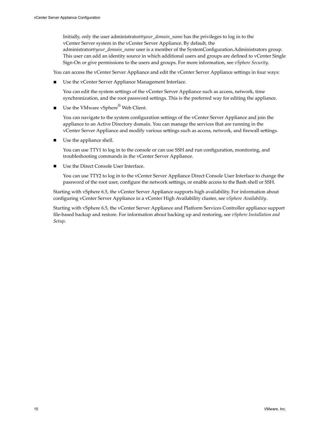Initially, only the user administrator@*your\_domain\_name* has the privileges to log in to the vCenter Server system in the vCenter Server Appliance. By default, the administrator@your\_domain\_name user is a member of the SystemConfiguration.Administrators group. This user can add an identity source in which additional users and groups are defined to vCenter Single Sign-On or give permissions to the users and groups. For more information, see *vSphere Security*.

You can access the vCenter Server Appliance and edit the vCenter Server Appliance settings in four ways:

Use the vCenter Server Appliance Management Interface.

You can edit the system settings of the vCenter Server Appliance such as access, network, time synchronization, and the root password settings. This is the preferred way for editing the appliance.

 $\blacksquare$  Use the VMware vSphere<sup>®</sup> Web Client.

You can navigate to the system configuration settings of the vCenter Server Appliance and join the appliance to an Active Directory domain. You can manage the services that are running in the vCenter Server Appliance and modify various settings such as access, network, and firewall settings.

**n** Use the appliance shell.

You can use TTY1 to log in to the console or can use SSH and run configuration, monitoring, and troubleshooting commands in the vCenter Server Appliance.

Use the Direct Console User Interface.

You can use TTY2 to log in to the vCenter Server Appliance Direct Console User Interface to change the password of the root user, configure the network settings, or enable access to the Bash shell or SSH.

Starting with vSphere 6.5, the vCenter Server Appliance supports high availability. For information about configuring vCenter Server Appliance in a vCenter High Availability cluster, see *vSphere Availability*.

Starting with vSphere 6.5, the vCenter Server Appliance and Platform Services Controller appliance support file-based backup and restore. For information about backing up and restoring, see *vSphere Installation and Setup*.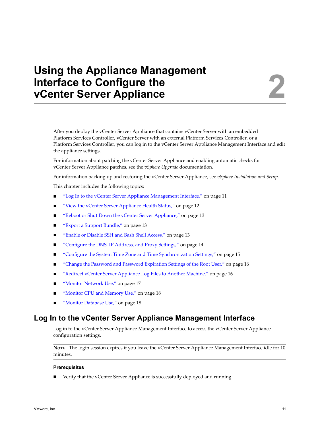# <span id="page-10-0"></span>**Using the Appliance Management Interface to Configure the using the Appliance Management**<br>Interface to Configure the<br>vCenter Server Appliance

After you deploy the vCenter Server Appliance that contains vCenter Server with an embedded Platform Services Controller, vCenter Server with an external Platform Services Controller, or a Platform Services Controller, you can log in to the vCenter Server Appliance Management Interface and edit the appliance settings.

For information about patching the vCenter Server Appliance and enabling automatic checks for vCenter Server Appliance patches, see the *vSphere Upgrade* documentation.

For information backing up and restoring the vCenter Server Appliance, see *vSphere Installation and Setup*.

This chapter includes the following topics:

- "Log In to the vCenter Server Appliance Management Interface," on page 11
- ["View the vCenter Server Appliance Health Status," on page 12](#page-11-0)
- ["Reboot or Shut Down the vCenter Server Appliance," on page 13](#page-12-0)
- ["Export a Support Bundle," on page 13](#page-12-0)
- ["Enable or Disable SSH and Bash Shell Access," on page 13](#page-12-0)
- "Configure the DNS, IP Address, and Proxy Settings," on page 14
- "Configure the System Time Zone and Time Synchronization Settings," on page 15
- "Change the Password and Password Expiration Settings of the Root User," on page 16
- ["Redirect vCenter Server Appliance Log Files to Another Machine," on page 16](#page-15-0)
- ["Monitor Network Use," on page 17](#page-16-0)
- ["Monitor CPU and Memory Use," on page 18](#page-17-0)
- ["Monitor Database Use," on page 18](#page-17-0)

## **Log In to the vCenter Server Appliance Management Interface**

Log in to the vCenter Server Appliance Management Interface to access the vCenter Server Appliance configuration settings.

Nore The login session expires if you leave the vCenter Server Appliance Management Interface idle for 10 minutes.

#### **Prerequisites**

Verify that the vCenter Server Appliance is successfully deployed and running.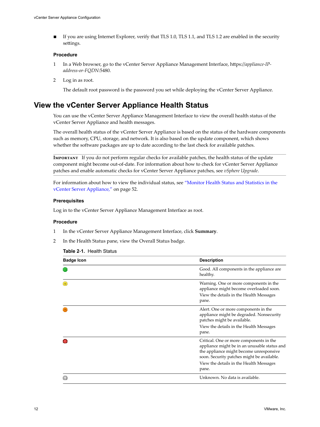<span id="page-11-0"></span>n If you are using Internet Explorer, verify that TLS 1.0, TLS 1.1, and TLS 1.2 are enabled in the security settings.

## **Procedure**

- 1 In a Web browser, go to the vCenter Server Appliance Management Interface, https://appliance-IP*address-or-FQDN*:5480.
- 2 Log in as root.

The default root password is the password you set while deploying the vCenter Server Appliance.

# **View the vCenter Server Appliance Health Status**

You can use the vCenter Server Appliance Management Interface to view the overall health status of the vCenter Server Appliance and health messages.

The overall health status of the vCenter Server Appliance is based on the status of the hardware components such as memory, CPU, storage, and network. It is also based on the update component, which shows whether the software packages are up to date according to the last check for available patches.

**IMPORTANT** If you do not perform regular checks for available patches, the health status of the update component might become out-of-date. For information about how to check for vCenter Server Appliance patches and enable automatic checks for vCenter Server Appliance patches, see *vSphere Upgrade*.

For information about how to view the individual status, see ["Monitor Health Status and Statistics in the](#page-51-0) [vCenter Server Appliance," on page 52.](#page-51-0)

## **Prerequisites**

Log in to the vCenter Server Appliance Management Interface as root.

## **Procedure**

- 1 In the vCenter Server Appliance Management Interface, click **Summary**.
- 2 In the Health Status pane, view the Overall Status badge.

## **Table 2**‑**1.** Health Status

| <b>Badge Icon</b> | <b>Description</b>                                                                                                                                                               |
|-------------------|----------------------------------------------------------------------------------------------------------------------------------------------------------------------------------|
|                   | Good. All components in the appliance are.<br>healthy.                                                                                                                           |
| 06                | Warning. One or more components in the<br>appliance might become overloaded soon.<br>View the details in the Health Messages<br>pane.                                            |
|                   | Alert. One or more components in the<br>appliance might be degraded. Nonsecurity<br>patches might be available.<br>View the details in the Health Messages                       |
|                   | pane.                                                                                                                                                                            |
|                   | Critical. One or more components in the<br>appliance might be in an unusable status and<br>the appliance might become unresponsive<br>soon. Security patches might be available. |
|                   | View the details in the Health Messages<br>pane.                                                                                                                                 |
|                   | Unknown. No data is available.                                                                                                                                                   |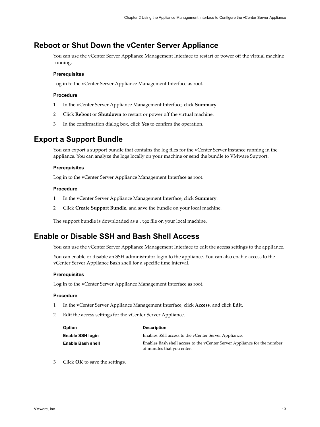# <span id="page-12-0"></span>**Reboot or Shut Down the vCenter Server Appliance**

You can use the vCenter Server Appliance Management Interface to restart or power off the virtual machine running.

## **Prerequisites**

Log in to the vCenter Server Appliance Management Interface as root.

## **Procedure**

- 1 In the vCenter Server Appliance Management Interface, click **Summary**.
- 2 Click **Reboot** or **Shutdown** to restart or power off the virtual machine.
- 3 In the confirmation dialog box, click **Yes** to confirm the operation.

# **Export a Support Bundle**

You can export a support bundle that contains the log files for the vCenter Server instance running in the appliance. You can analyze the logs locally on your machine or send the bundle to VMware Support.

## **Prerequisites**

Log in to the vCenter Server Appliance Management Interface as root.

#### **Procedure**

- 1 In the vCenter Server Appliance Management Interface, click **Summary**.
- 2 Click **Create Support Bundle**, and save the bundle on your local machine.

The support bundle is downloaded as a .tgz file on your local machine.

# **Enable or Disable SSH and Bash Shell Access**

You can use the vCenter Server Appliance Management Interface to edit the access settings to the appliance.

You can enable or disable an SSH administrator login to the appliance. You can also enable access to the vCenter Server Appliance Bash shell for a specific time interval.

## **Prerequisites**

Log in to the vCenter Server Appliance Management Interface as root.

#### **Procedure**

- 1 In the vCenter Server Appliance Management Interface, click **Access**, and click **Edit**.
- 2 Edit the access settings for the vCenter Server Appliance.

| Option                  | <b>Description</b>                                                                                     |
|-------------------------|--------------------------------------------------------------------------------------------------------|
| <b>Enable SSH login</b> | Enables SSH access to the vCenter Server Appliance.                                                    |
| Enable Bash shell       | Enables Bash shell access to the vCenter Server Appliance for the number<br>of minutes that you enter. |

3 Click **OK** to save the settings.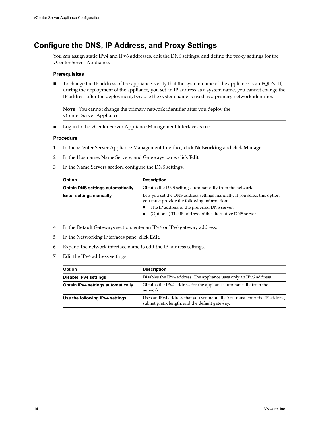# <span id="page-13-0"></span>**Configure the DNS, IP Address, and Proxy Settings**

You can assign static IPv4 and IPv6 addresses, edit the DNS settings, and define the proxy settings for the vCenter Server Appliance.

## **Prerequisites**

To change the IP address of the appliance, verify that the system name of the appliance is an FQDN. If, during the deployment of the appliance, you set an IP address as a system name, you cannot change the IP address after the deployment, because the system name is used as a primary network identifier.

Nore You cannot change the primary network identifier after you deploy the vCenter Server Appliance.

■ Log in to the vCenter Server Appliance Management Interface as root.

#### **Procedure**

- 1 In the vCenter Server Appliance Management Interface, click **Networking** and click **Manage**.
- 2 In the Hostname, Name Servers, and Gateways pane, click **Edit**.
- 3 In the Name Servers section, configure the DNS settings.

| <b>Option</b>                            | <b>Description</b>                                                                                                        |
|------------------------------------------|---------------------------------------------------------------------------------------------------------------------------|
| <b>Obtain DNS settings automatically</b> | Obtains the DNS settings automatically from the network.                                                                  |
| <b>Enter settings manually</b>           | Lets you set the DNS address settings manually. If you select this option,<br>you must provide the following information: |
|                                          | ■ The IP address of the preferred DNS server.                                                                             |
|                                          | (Optional) The IP address of the alternative DNS server.<br>■                                                             |

- 4 In the Default Gateways section, enter an IPv4 or IPv6 gateway address.
- 5 In the Networking Interfaces pane, click **Edit**.
- 6 Expand the network interface name to edit the IP address settings.
- 7 Edit the IPv4 address settings.

| Option                             | <b>Description</b>                                                                                                           |  |
|------------------------------------|------------------------------------------------------------------------------------------------------------------------------|--|
| Disable IPv4 settings              | Disables the IPv4 address. The appliance uses only an IPv6 address.                                                          |  |
| Obtain IPv4 settings automatically | Obtains the IPv4 address for the appliance automatically from the<br>network.                                                |  |
| Use the following IPv4 settings    | Uses an IPv4 address that you set manually. You must enter the IP address,<br>subnet prefix length, and the default gateway. |  |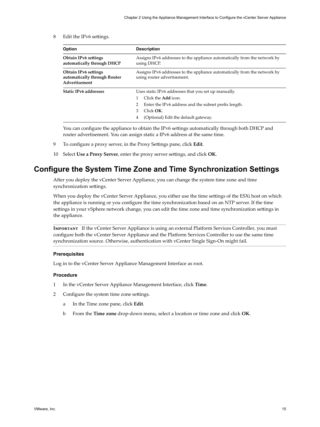<span id="page-14-0"></span>8 Edit the IPv6 settings.

| Option                                                                | <b>Description</b>                                                                                                                                                |
|-----------------------------------------------------------------------|-------------------------------------------------------------------------------------------------------------------------------------------------------------------|
| <b>Obtain IPv6 settings</b><br>automatically through DHCP             | Assigns IPv6 addresses to the appliance automatically from the network by<br>using DHCP.                                                                          |
| Obtain IPv6 settings<br>automatically through Router<br>Advertisement | Assigns IPv6 addresses to the appliance automatically from the network by<br>using router advertisement.                                                          |
| <b>Static IPv6 addresses</b>                                          | Uses static IPv6 addresses that you set up manually.<br>Click the <b>Add</b> icon.<br>Enter the IPv6 address and the subnet prefix length.<br>2<br>Click OK.<br>3 |
|                                                                       | (Optional) Edit the default gateway.<br>4                                                                                                                         |

You can configure the appliance to obtain the IPv6 settings automatically through both DHCP and router advertisement. You can assign static a IPv6 address at the same time.

- 9 To configure a proxy server, in the Proxy Settings pane, click Edit.
- 10 Select Use a Proxy Server, enter the proxy server settings, and click OK.

# **Configure the System Time Zone and Time Synchronization Settings**

After you deploy the vCenter Server Appliance, you can change the system time zone and time synchronization settings.

When you deploy the vCenter Server Appliance, you either use the time settings of the ESXi host on which the appliance is running or you configure the time synchronization based on an NTP server. If the time settings in your vSphere network change, you can edit the time zone and time synchronization settings in the appliance.

**IMPORTANT** If the vCenter Server Appliance is using an external Platform Services Controller, you must configure both the vCenter Server Appliance and the Platform Services Controller to use the same time synchronization source. Otherwise, authentication with vCenter Single Sign-On might fail.

#### **Prerequisites**

Log in to the vCenter Server Appliance Management Interface as root.

## **Procedure**

- 1 In the vCenter Server Appliance Management Interface, click **Time**.
- 2 Configure the system time zone settings.
	- a In the Time zone pane, click **Edit**.
	- b From the **Time zone** drop-down menu, select a location or time zone and click **OK**.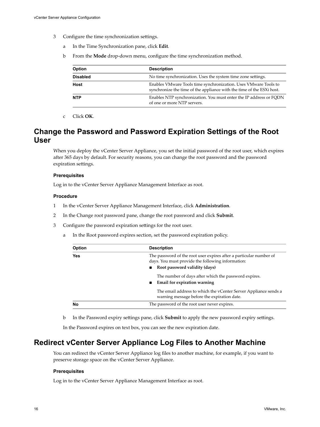- <span id="page-15-0"></span>3 Configure the time synchronization settings.
	- a In the Time Synchronization pane, click **Edit**.
	- b From the **Mode** drop-down menu, configure the time synchronization method.

| Option          | <b>Description</b>                                                                                                                       |
|-----------------|------------------------------------------------------------------------------------------------------------------------------------------|
| <b>Disabled</b> | No time synchronization. Uses the system time zone settings.                                                                             |
| Host            | Enables VMware Tools time synchronization. Uses VMware Tools to<br>synchronize the time of the appliance with the time of the ESXi host. |
| <b>NTP</b>      | Enables NTP synchronization. You must enter the IP address or FQDN<br>of one or more NTP servers.                                        |

c Click **OK**.

# **Change the Password and Password Expiration Settings of the Root User**

When you deploy the vCenter Server Appliance, you set the initial password of the root user, which expires after 365 days by default. For security reasons, you can change the root password and the password expiration settings.

## **Prerequisites**

Log in to the vCenter Server Appliance Management Interface as root.

#### **Procedure**

- 1 In the vCenter Server Appliance Management Interface, click **Administration**.
- 2 In the Change root password pane, change the root password and click **Submit**.
- 3 Configure the password expiration settings for the root user.
	- a In the Root password expires section, set the password expiration policy.

| Option     | <b>Description</b>                                                                                                      |
|------------|-------------------------------------------------------------------------------------------------------------------------|
| <b>Yes</b> | The password of the root user expires after a particular number of<br>days. You must provide the following information: |
|            | Root password validity (days)                                                                                           |
|            | The number of days after which the password expires.<br>Email for expiration warning                                    |
|            | The email address to which the vCenter Server Appliance sends a<br>warning message before the expiration date.          |
| No         | The password of the root user never expires.                                                                            |

b In the Password expiry settings pane, click **Submit** to apply the new password expiry settings.

In the Password expires on text box, you can see the new expiration date.

# **Redirect vCenter Server Appliance Log Files to Another Machine**

You can redirect the vCenter Server Appliance log files to another machine, for example, if you want to preserve storage space on the vCenter Server Appliance.

## **Prerequisites**

Log in to the vCenter Server Appliance Management Interface as root.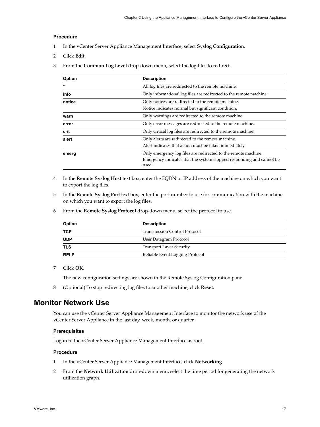#### <span id="page-16-0"></span>**Procedure**

- 1 In the vCenter Server Appliance Management Interface, select **Syslog Configuration**.
- 2 Click **Edit**.
- 3 From the **Common Log Level** drop-down menu, select the log files to redirect.

| Option  | <b>Description</b>                                                            |
|---------|-------------------------------------------------------------------------------|
| $\star$ | All log files are redirected to the remote machine.                           |
| info    | Only informational log files are redirected to the remote machine.            |
| notice  | Only notices are redirected to the remote machine.                            |
|         | Notice indicates normal but significant condition.                            |
| warn    | Only warnings are redirected to the remote machine.                           |
| error   | Only error messages are redirected to the remote machine.                     |
| crit    | Only critical log files are redirected to the remote machine.                 |
| alert   | Only alerts are redirected to the remote machine.                             |
|         | Alert indicates that action must be taken immediately.                        |
| emerg   | Only emergency log files are redirected to the remote machine.                |
|         | Emergency indicates that the system stopped responding and cannot be<br>used. |

- 4 In the **Remote Syslog Host** text box, enter the FQDN or IP address of the machine on which you want to export the log files.
- 5 In the **Remote Syslog Port** text box, enter the port number to use for communication with the machine on which you want to export the log files.
- 6 From the **Remote Syslog Protocol** drop-down menu, select the protocol to use.

| Option      | <b>Description</b>                   |
|-------------|--------------------------------------|
| <b>TCP</b>  | <b>Transmission Control Protocol</b> |
| <b>UDP</b>  | User Datagram Protocol               |
| <b>TLS</b>  | <b>Transport Layer Security</b>      |
| <b>RELP</b> | Reliable Event Logging Protocol      |

7 Click **OK**.

The new configuration settings are shown in the Remote Syslog Configuration pane.

8 (Optional) To stop redirecting log files to another machine, click **Reset**.

## **Monitor Network Use**

You can use the vCenter Server Appliance Management Interface to monitor the network use of the vCenter Server Appliance in the last day, week, month, or quarter.

### **Prerequisites**

Log in to the vCenter Server Appliance Management Interface as root.

## **Procedure**

- 1 In the vCenter Server Appliance Management Interface, click **Networking**.
- 2 From the **Network Utilization** drop-down menu, select the time period for generating the network utilization graph.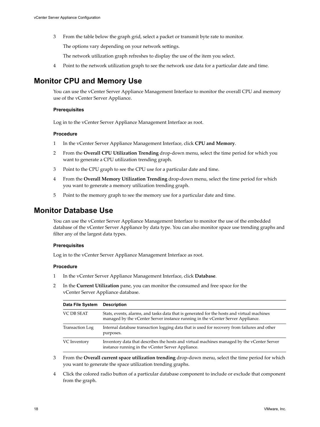<span id="page-17-0"></span>3 From the table below the graph grid, select a packet or transmit byte rate to monitor.

The options vary depending on your network settings.

The network utilization graph refreshes to display the use of the item you select.

4 Point to the network utilization graph to see the network use data for a particular date and time.

# **Monitor CPU and Memory Use**

You can use the vCenter Server Appliance Management Interface to monitor the overall CPU and memory use of the vCenter Server Appliance.

## **Prerequisites**

Log in to the vCenter Server Appliance Management Interface as root.

#### **Procedure**

- 1 In the vCenter Server Appliance Management Interface, click **CPU and Memory**.
- 2 From the **Overall CPU Utilization Trending** drop-down menu, select the time period for which you want to generate a CPU utilization trending graph.
- 3 Point to the CPU graph to see the CPU use for a particular date and time.
- 4 From the **Overall Memory Utilization Trending** drop-down menu, select the time period for which you want to generate a memory utilization trending graph.
- 5 Point to the memory graph to see the memory use for a particular date and time.

# **Monitor Database Use**

You can use the vCenter Server Appliance Management Interface to monitor the use of the embedded database of the vCenter Server Appliance by data type. You can also monitor space use trending graphs and filter any of the largest data types.

## **Prerequisites**

Log in to the vCenter Server Appliance Management Interface as root.

## **Procedure**

- 1 In the vCenter Server Appliance Management Interface, click **Database**.
- 2 In the **Current Utilization** pane, you can monitor the consumed and free space for the vCenter Server Appliance database.

| Data File System | <b>Description</b>                                                                                                                                                            |
|------------------|-------------------------------------------------------------------------------------------------------------------------------------------------------------------------------|
| VC DB SEAT       | Stats, events, alarms, and tasks data that is generated for the hosts and virtual machines<br>managed by the vCenter Server instance running in the vCenter Server Appliance. |
| Transaction Log  | Internal database transaction logging data that is used for recovery from failures and other<br>purposes.                                                                     |
| VC Inventory     | Inventory data that describes the hosts and virtual machines managed by the vCenter Server<br>instance running in the vCenter Server Appliance.                               |

- 3 From the **Overall current space utilization trending** drop-down menu, select the time period for which you want to generate the space utilization trending graphs.
- 4 Click the colored radio button of a particular database component to include or exclude that component from the graph.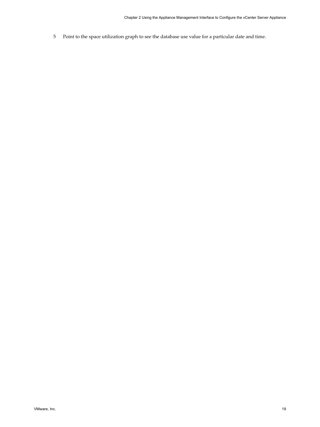5 Point to the space utilization graph to see the database use value for a particular date and time.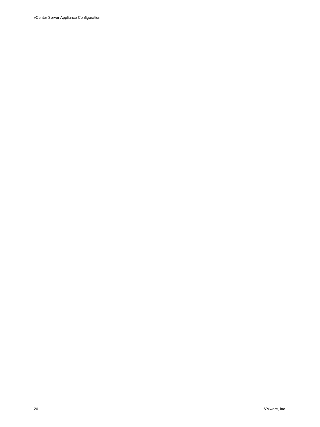vCenter Server Appliance Configuration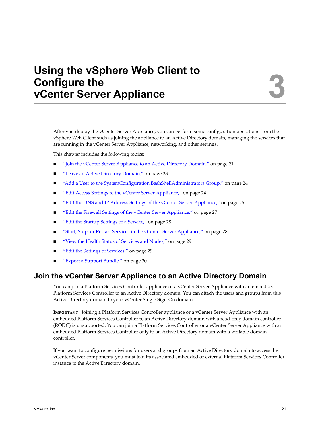# <span id="page-20-0"></span>**Using the vSphere Web Client to Configure the vertigure the Server Appliance 33**<br> **1999 - Center Server Appliance**

After you deploy the vCenter Server Appliance, you can perform some configuration operations from the vSphere Web Client such as joining the appliance to an Active Directory domain, managing the services that are running in the vCenter Server Appliance, networking, and other settings.

This chapter includes the following topics:

- n "Join the vCenter Server Appliance to an Active Directory Domain," on page 21
- ["Leave an Active Directory Domain," on page 23](#page-22-0)
- "Add a User to the SystemConfiguration.BashShellAdministrators Group," on page 24
- "Edit Access Settings to the vCenter Server Appliance," on page 24
- "Edit the DNS and IP Address Settings of the vCenter Server Appliance," on page 25
- "Edit the Firewall Settings of the vCenter Server Appliance," on page 27
- "Edit the Startup Settings of a Service," on page 28
- ["Start, Stop, or Restart Services in the vCenter Server Appliance," on page 28](#page-27-0)
- ["View the Health Status of Services and Nodes," on page 29](#page-28-0)
- "Edit the Settings of Services," on page 29
- ["Export a Support Bundle," on page 30](#page-29-0)

## **Join the vCenter Server Appliance to an Active Directory Domain**

You can join a Platform Services Controller appliance or a vCenter Server Appliance with an embedded Platform Services Controller to an Active Directory domain. You can attach the users and groups from this Active Directory domain to your vCenter Single Sign-On domain.

**IMPORTANT** Joining a Platform Services Controller appliance or a vCenter Server Appliance with an embedded Platform Services Controller to an Active Directory domain with a read-only domain controller (RODC) is unsupported. You can join a Platform Services Controller or a vCenter Server Appliance with an embedded Platform Services Controller only to an Active Directory domain with a writable domain controller.

If you want to configure permissions for users and groups from an Active Directory domain to access the vCenter Server components, you must join its associated embedded or external Platform Services Controller instance to the Active Directory domain.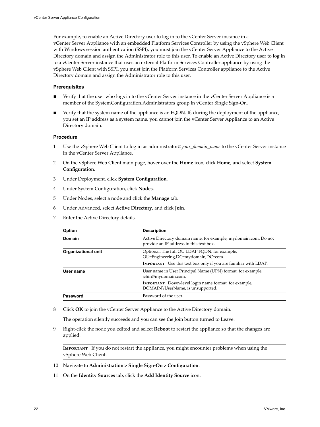For example, to enable an Active Directory user to log in to the vCenter Server instance in a vCenter Server Appliance with an embedded Platform Services Controller by using the vSphere Web Client with Windows session authentication (SSPI), you must join the vCenter Server Appliance to the Active Directory domain and assign the Administrator role to this user. To enable an Active Directory user to log in to a vCenter Server instance that uses an external Platform Services Controller appliance by using the vSphere Web Client with SSPI, you must join the Platform Services Controller appliance to the Active Directory domain and assign the Administrator role to this user.

## **Prerequisites**

- n Verify that the user who logs in to the vCenter Server instance in the vCenter Server Appliance is a member of the SystemConfiguration.Administrators group in vCenter Single Sign-On.
- n Verify that the system name of the appliance is an FQDN. If, during the deployment of the appliance, you set an IP address as a system name, you cannot join the vCenter Server Appliance to an Active Directory domain.

## **Procedure**

- 1 Use the vSphere Web Client to log in as administrator@*your\_domain\_name* to the vCenter Server instance in the vCenter Server Appliance.
- 2 On the vSphere Web Client main page, hover over the **Home** icon, click **Home**, and select **System Configuration.**
- 3 Under Deployment, click **System Configuration**.
- 4 Under System Configuration, click **Nodes**.
- 5 Under Nodes, select a node and click the **Manage** tab.
- 6 Under Advanced, select **Active Directory**, and click **Join**.
- 7 Enter the Active Directory details.

| Option              | <b>Description</b>                                                                                         |
|---------------------|------------------------------------------------------------------------------------------------------------|
| Domain              | Active Directory domain name, for example, mydomain.com. Do not<br>provide an IP address in this text box. |
| Organizational unit | Optional. The full OU LDAP FQDN, for example,<br>OU=Engineering,DC=mydomain,DC=com.                        |
|                     | <b>IMPORTANT</b> Use this text box only if you are familiar with LDAP.                                     |
| User name           | User name in User Principal Name (UPN) format, for example,<br>jchin@mydomain.com.                         |
|                     | <b>IMPORTANT</b> Down-level login name format, for example,<br>DOMAIN\UserName, is unsupported.            |
| Password            | Password of the user.                                                                                      |

8 Click **OK** to join the vCenter Server Appliance to the Active Directory domain.

The operation silently succeeds and you can see the Join button turned to Leave.

9 Right-click the node you edited and select **Reboot** to restart the appliance so that the changes are applied.

**IMPORTANT** If you do not restart the appliance, you might encounter problems when using the vSphere Web Client.

- 10 Navigate to Administration > Single Sign-On > Configuration.
- 11 On the **Identity Sources** tab, click the **Add Identity Source** icon.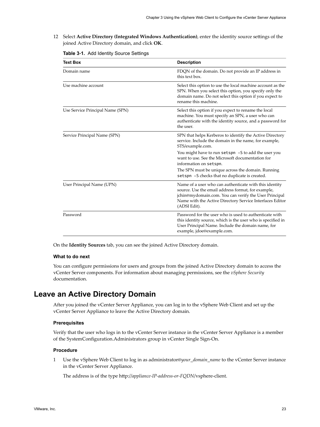<span id="page-22-0"></span>12 Select **Active Directory (Integrated Windows Authentication)**, enter the identity source settings of the joined Active Directory domain, and click **OK**.

| <b>Text Box</b>                  | <b>Description</b>                                                                                                                                                                                                                                |  |  |
|----------------------------------|---------------------------------------------------------------------------------------------------------------------------------------------------------------------------------------------------------------------------------------------------|--|--|
| Domain name                      | FDQN of the domain. Do not provide an IP address in<br>this text box.                                                                                                                                                                             |  |  |
| Use machine account              | Select this option to use the local machine account as the<br>SPN. When you select this option, you specify only the<br>domain name. Do not select this option if you expect to<br>rename this machine.                                           |  |  |
| Use Service Principal Name (SPN) | Select this option if you expect to rename the local<br>machine. You must specify an SPN, a user who can<br>authenticate with the identity source, and a password for<br>the user.                                                                |  |  |
| Service Principal Name (SPN)     | SPN that helps Kerberos to identify the Active Directory<br>service. Include the domain in the name, for example,<br>STS/example.com.                                                                                                             |  |  |
|                                  | You might have to run setspn -S to add the user you<br>want to use. See the Microsoft documentation for<br>information on setspn.                                                                                                                 |  |  |
|                                  | The SPN must be unique across the domain. Running<br>setspn -S checks that no duplicate is created.                                                                                                                                               |  |  |
| User Principal Name (UPN)        | Name of a user who can authenticate with this identity<br>source. Use the email address format, for example,<br>jchin@mydomain.com. You can verify the User Principal<br>Name with the Active Directory Service Interfaces Editor<br>(ADSI Edit). |  |  |
| Password                         | Password for the user who is used to authenticate with<br>this identity source, which is the user who is specified in<br>User Principal Name. Include the domain name, for<br>example, jdoe@example.com.                                          |  |  |

**Table 3**‑**1.** Add Identity Source Settings

On the **Identity Sources** tab, you can see the joined Active Directory domain.

## **What to do next**

You can configure permissions for users and groups from the joined Active Directory domain to access the vCenter Server components. For information about managing permissions, see the *vSphere Security* documentation.

# **Leave an Active Directory Domain**

After you joined the vCenter Server Appliance, you can log in to the vSphere Web Client and set up the vCenter Server Appliance to leave the Active Directory domain.

## **Prerequisites**

Verify that the user who logs in to the vCenter Server instance in the vCenter Server Appliance is a member of the SystemConfiguration.Administrators group in vCenter Single Sign-On.

## **Procedure**

1 Use the vSphere Web Client to log in as administrator@*your\_domain\_name* to the vCenter Server instance in the vCenter Server Appliance.

The address is of the type http://appliance-IP-address-or-FQDN/vsphere-client.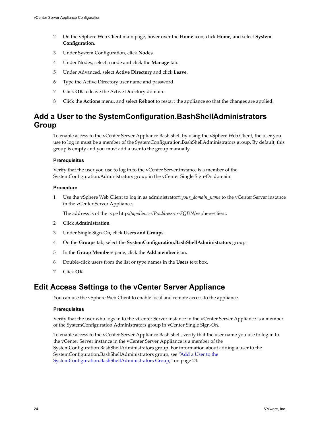- <span id="page-23-0"></span>2 On the vSphere Web Client main page, hover over the **Home** icon, click **Home**, and select **System Configuration.**
- 3 Under System Configuration, click **Nodes**.
- 4 Under Nodes, select a node and click the **Manage** tab.
- 5 Under Advanced, select **Active Directory** and click **Leave**.
- 6 Type the Active Directory user name and password.
- 7 Click **OK** to leave the Active Directory domain.
- 8 Click the **Actions** menu, and select **Reboot** to restart the appliance so that the changes are applied.

# **Add a User to the SystemConfiguration.BashShellAdministrators Group**

To enable access to the vCenter Server Appliance Bash shell by using the vSphere Web Client, the user you use to log in must be a member of the SystemConfiguration.BashShellAdministrators group. By default, this group is empty and you must add a user to the group manually.

#### **Prerequisites**

Verify that the user you use to log in to the vCenter Server instance is a member of the SystemConfiguration. Administrators group in the vCenter Single Sign-On domain.

#### **Procedure**

1 Use the vSphere Web Client to log in as administrator@*your\_domain\_name* to the vCenter Server instance in the vCenter Server Appliance.

The address is of the type http://appliance-IP-address-or-FQDN/vsphere-client.

- 2 Click **Administration**.
- 3 Under Single Sign-On, click **Users and Groups**.
- 4 On the Groups tab, select the **SystemConfiguration.BashShellAdministrators** group.
- 5 In the **Group Members** pane, click the **Add member** icon.
- 6 Double-click users from the list or type names in the **Users** text box.
- 7 Click **OK**.

# **Edit Access Settings to the vCenter Server Appliance**

You can use the vSphere Web Client to enable local and remote access to the appliance.

#### **Prerequisites**

Verify that the user who logs in to the vCenter Server instance in the vCenter Server Appliance is a member of the SystemConfiguration.Administrators group in vCenter Single Sign-On.

To enable access to the vCenter Server Appliance Bash shell, verify that the user name you use to log in to the vCenter Server instance in the vCenter Server Appliance is a member of the SystemConfiguration.BashShellAdministrators group. For information about adding a user to the SystemConfiguration.BashShellAdministrators group, see "Add a User to the SystemConfiguration.BashShellAdministrators Group," on page 24.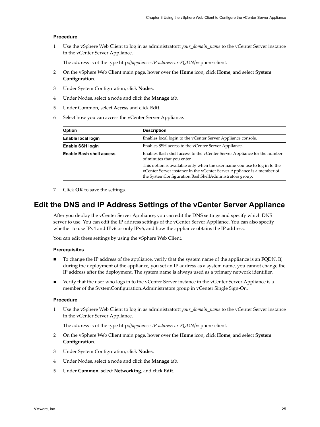#### <span id="page-24-0"></span>**Procedure**

1 Use the vSphere Web Client to log in as administrator@*your\_domain\_name* to the vCenter Server instance in the vCenter Server Appliance.

The address is of the type http://appliance-IP-address-or-FQDN/vsphere-client.

- 2 On the vSphere Web Client main page, hover over the **Home** icon, click **Home**, and select **System Configuration.**
- 3 Under System Configuration, click **Nodes**.
- 4 Under Nodes, select a node and click the **Manage** tab.
- 5 Under Common, select **Access** and click **Edit**.
- 6 Select how you can access the vCenter Server Appliance.

| Option                          | <b>Description</b><br>Enables local login to the vCenter Server Appliance console.                                                                                                                            |  |  |
|---------------------------------|---------------------------------------------------------------------------------------------------------------------------------------------------------------------------------------------------------------|--|--|
| Enable local login              |                                                                                                                                                                                                               |  |  |
| <b>Enable SSH login</b>         | Enables SSH access to the vCenter Server Appliance.                                                                                                                                                           |  |  |
| <b>Enable Bash shell access</b> | Enables Bash shell access to the vCenter Server Appliance for the number<br>of minutes that you enter.                                                                                                        |  |  |
|                                 | This option is available only when the user name you use to log in to the<br>vCenter Server instance in the vCenter Server Appliance is a member of<br>the SystemConfiguration.BashShellAdministrators group. |  |  |

7 Click **OK** to save the settings.

## **Edit the DNS and IP Address Settings of the vCenter Server Appliance**

After you deploy the vCenter Server Appliance, you can edit the DNS settings and specify which DNS server to use. You can edit the IP address settings of the vCenter Server Appliance. You can also specify whether to use IPv4 and IPv6 or only IPv6, and how the appliance obtains the IP address.

You can edit these settings by using the vSphere Web Client.

#### **Prerequisites**

- To change the IP address of the appliance, verify that the system name of the appliance is an FQDN. If, during the deployment of the appliance, you set an IP address as a system name, you cannot change the IP address after the deployment. The system name is always used as a primary network identifier.
- n Verify that the user who logs in to the vCenter Server instance in the vCenter Server Appliance is a member of the SystemConfiguration.Administrators group in vCenter Single Sign-On.

#### **Procedure**

1 Use the vSphere Web Client to log in as administrator@*your\_domain\_name* to the vCenter Server instance in the vCenter Server Appliance.

The address is of the type http://appliance-IP-address-or-FQDN/vsphere-client.

- 2 On the vSphere Web Client main page, hover over the **Home** icon, click **Home**, and select **System Configuration.**
- 3 Under System Configuration, click **Nodes**.
- 4 Under Nodes, select a node and click the **Manage** tab.
- 5 Under **Common**, select **Networking**, and click **Edit**.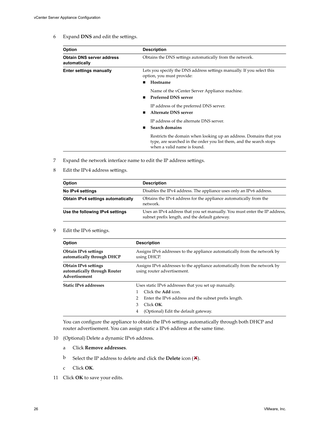## 6 Expand **DNS** and edit the settings.

| Option                                            | <b>Description</b>                                                                                                                                                      |  |  |  |
|---------------------------------------------------|-------------------------------------------------------------------------------------------------------------------------------------------------------------------------|--|--|--|
| <b>Obtain DNS server address</b><br>automatically | Obtains the DNS settings automatically from the network.                                                                                                                |  |  |  |
| <b>Enter settings manually</b>                    | Lets you specify the DNS address settings manually. If you select this<br>option, you must provide:<br>Hostname                                                         |  |  |  |
|                                                   | Name of the vCenter Server Appliance machine.<br><b>Preferred DNS server</b>                                                                                            |  |  |  |
|                                                   | IP address of the preferred DNS server.<br><b>Alternate DNS server</b>                                                                                                  |  |  |  |
|                                                   | IP address of the alternate DNS server.<br>Search domains                                                                                                               |  |  |  |
|                                                   | Restricts the domain when looking up an address. Domains that you<br>type, are searched in the order you list them, and the search stops<br>when a valid name is found. |  |  |  |

7 Expand the network interface name to edit the IP address settings.

8 Edit the IPv4 address settings.

| Option                             | <b>Description</b>                                                                                                           |  |  |
|------------------------------------|------------------------------------------------------------------------------------------------------------------------------|--|--|
| No IPv4 settings                   | Disables the IPv4 address. The appliance uses only an IPv6 address.                                                          |  |  |
| Obtain IPv4 settings automatically | Obtains the IPv4 address for the appliance automatically from the<br>network.                                                |  |  |
| Use the following IPv4 settings    | Uses an IPv4 address that you set manually. You must enter the IP address,<br>subnet prefix length, and the default gateway. |  |  |

### 9 Edit the IPv6 settings.

| Option                                                                | <b>Description</b>                                                                                                                                                                                   |  |  |
|-----------------------------------------------------------------------|------------------------------------------------------------------------------------------------------------------------------------------------------------------------------------------------------|--|--|
| Obtain IPv6 settings<br>automatically through DHCP                    | Assigns IPv6 addresses to the appliance automatically from the network by<br>using DHCP.<br>Assigns IPv6 addresses to the appliance automatically from the network by<br>using router advertisement. |  |  |
| Obtain IPv6 settings<br>automatically through Router<br>Advertisement |                                                                                                                                                                                                      |  |  |
| <b>Static IPv6 addresses</b>                                          | Uses static IPv6 addresses that you set up manually.                                                                                                                                                 |  |  |
|                                                                       | Click the <b>Add</b> icon.                                                                                                                                                                           |  |  |
|                                                                       | Enter the IPv6 address and the subnet prefix length.<br>2                                                                                                                                            |  |  |
|                                                                       | Click OK.<br>З.                                                                                                                                                                                      |  |  |
|                                                                       | (Optional) Edit the default gateway.<br>4                                                                                                                                                            |  |  |

You can configure the appliance to obtain the IPv6 settings automatically through both DHCP and router advertisement. You can assign static a IPv6 address at the same time.

- 10 (Optional) Delete a dynamic IPv6 address.
	- a Click **Remove addresses**.
	- b Select the IP address to delete and click the **Delete** icon (**\***).
	- c Click **OK**.
- 11 Click **OK** to save your edits.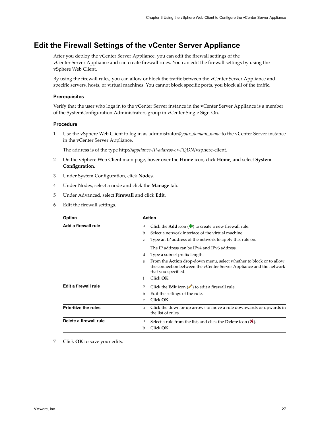# <span id="page-26-0"></span>**Edit the Firewall Settings of the vCenter Server Appliance**

After you deploy the vCenter Server Appliance, you can edit the firewall settings of the vCenter Server Appliance and can create firewall rules. You can edit the firewall settings by using the vSphere Web Client.

By using the firewall rules, you can allow or block the traffic between the vCenter Server Appliance and specific servers, hosts, or virtual machines. You cannot block specific ports, you block all of the traffic.

## **Prerequisites**

Verify that the user who logs in to the vCenter Server instance in the vCenter Server Appliance is a member of the SystemConfiguration.Administrators group in vCenter Single Sign-On.

## **Procedure**

1 Use the vSphere Web Client to log in as administrator@*your\_domain\_name* to the vCenter Server instance in the vCenter Server Appliance.

The address is of the type http://appliance-IP-address-or-FQDN/vsphere-client.

- 2 On the vSphere Web Client main page, hover over the **Home** icon, click **Home**, and select **System Configuration.**
- 3 Under System Configuration, click **Nodes**.
- 4 Under Nodes, select a node and click the **Manage** tab.
- 5 Under Advanced, select **Firewall** and click **Edit**.
- 6 Edit the firewall settings.

| <b>Option</b>               | <b>Action</b>                                                                                                                                                                 |  |  |
|-----------------------------|-------------------------------------------------------------------------------------------------------------------------------------------------------------------------------|--|--|
| Add a firewall rule         | Click the <b>Add</b> icon $(\biguparrow)$ to create a new firewall rule.<br>a                                                                                                 |  |  |
|                             | Select a network interface of the virtual machine.<br>b                                                                                                                       |  |  |
|                             | Type an IP address of the network to apply this rule on.<br>C                                                                                                                 |  |  |
|                             | The IP address can be IPv4 and IPv6 address.                                                                                                                                  |  |  |
|                             | Type a subnet prefix length.<br>d                                                                                                                                             |  |  |
|                             | From the <b>Action</b> drop-down menu, select whether to block or to allow<br>e<br>the connection between the vCenter Server Appliance and the network<br>that you specified. |  |  |
|                             | Click OK.<br>f                                                                                                                                                                |  |  |
| Edit a firewall rule        | Click the Edit icon $(\mathscr{O})$ to edit a firewall rule.<br>a                                                                                                             |  |  |
|                             | Edit the settings of the rule.<br>b                                                                                                                                           |  |  |
|                             | Click OK.<br>$\mathcal{C}$                                                                                                                                                    |  |  |
| <b>Prioritize the rules</b> | Click the down or up arrows to move a rule downwards or upwards in<br>a<br>the list of rules.                                                                                 |  |  |
| Delete a firewall rule      | Select a rule from the list, and click the <b>Delete</b> icon $(\lambda)$ .<br>a                                                                                              |  |  |
|                             | Click OK.<br>b                                                                                                                                                                |  |  |

7 Click **OK** to save your edits.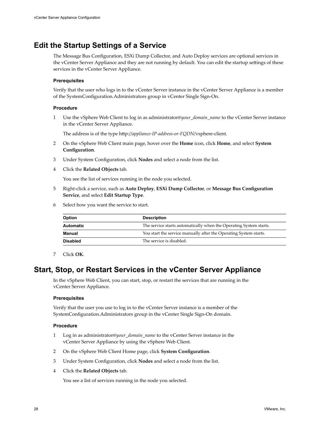# <span id="page-27-0"></span>**Edit the Startup Settings of a Service**

The Message Bus Configuration, ESXi Dump Collector, and Auto Deploy services are optional services in the vCenter Server Appliance and they are not running by default. You can edit the startup settings of these services in the vCenter Server Appliance.

### **Prerequisites**

Verify that the user who logs in to the vCenter Server instance in the vCenter Server Appliance is a member of the SystemConfiguration. Administrators group in vCenter Single Sign-On.

#### **Procedure**

1 Use the vSphere Web Client to log in as administrator@*your\_domain\_name* to the vCenter Server instance in the vCenter Server Appliance.

The address is of the type http://appliance-IP-address-or-FQDN/vsphere-client.

- 2 On the vSphere Web Client main page, hover over the **Home** icon, click **Home**, and select **System** Configuration.
- 3 Under System Configuration, click **Nodes** and select a node from the list.
- 4 Click the **Related Objects** tab.

You see the list of services running in the node you selected.

- 5 Right-click a service, such as **Auto Deploy**, **ESXi Dump Collector**, or **Message Bus Conęgurtion Service**, and select **Edit Startup Type**.
- 6 Select how you want the service to start.

| Option          | <b>Description</b>                                                 |
|-----------------|--------------------------------------------------------------------|
| Automatic       | The service starts automatically when the Operating System starts. |
| Manual          | You start the service manually after the Operating System starts.  |
| <b>Disabled</b> | The service is disabled.                                           |

7 Click **OK**.

## **Start, Stop, or Restart Services in the vCenter Server Appliance**

In the vSphere Web Client, you can start, stop, or restart the services that are running in the vCenter Server Appliance.

#### **Prerequisites**

Verify that the user you use to log in to the vCenter Server instance is a member of the SystemConfiguration. Administrators group in the vCenter Single Sign-On domain.

#### **Procedure**

- 1 Log in as administrator@*your\_domain\_name* to the vCenter Server instance in the vCenter Server Appliance by using the vSphere Web Client.
- 2 On the vSphere Web Client Home page, click **System Configuration**.
- 3 Under System Configuration, click **Nodes** and select a node from the list.
- 4 Click the **Related Objects** tab.

You see a list of services running in the node you selected.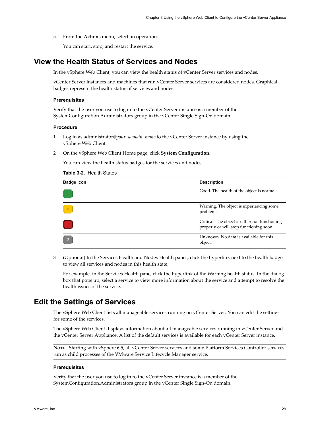<span id="page-28-0"></span>5 From the **Actions** menu, select an operation.

You can start, stop, and restart the service.

# **View the Health Status of Services and Nodes**

In the vSphere Web Client, you can view the health status of vCenter Server services and nodes.

vCenter Server instances and machines that run vCenter Server services are considered nodes. Graphical badges represent the health status of services and nodes.

#### **Prerequisites**

Verify that the user you use to log in to the vCenter Server instance is a member of the SystemConfiguration.Administrators group in the vCenter Single Sign-On domain.

#### **Procedure**

- 1 Log in as administrator@*your\_domain\_name* to the vCenter Server instance by using the vSphere Web Client.
- 2 On the vSphere Web Client Home page, click **System Configuration**.

You can view the health status badges for the services and nodes.

| <b>Badge Icon</b> | <b>Description</b>                                                                        |  |  |
|-------------------|-------------------------------------------------------------------------------------------|--|--|
|                   | Good. The health of the object is normal.                                                 |  |  |
|                   | Warning. The object is experiencing some<br>problems.                                     |  |  |
|                   | Critical. The object is either not functioning<br>properly or will stop functioning soon. |  |  |
|                   | Unknown. No data is available for this<br>object.                                         |  |  |

3 (Optional) In the Services Health and Nodes Health panes, click the hyperlink next to the health badge to view all services and nodes in this health state.

For example, in the Services Health pane, click the hyperlink of the Warning health status. In the dialog box that pops up, select a service to view more information about the service and attempt to resolve the health issues of the service.

# **Edit the Settings of Services**

**Table 3**‑**2.** Health States

The vSphere Web Client lists all manageable services running on vCenter Server. You can edit the settings for some of the services.

The vSphere Web Client displays information about all manageable services running in vCenter Server and the vCenter Server Appliance. A list of the default services is available for each vCenter Server instance.

Nore Starting with vSphere 6.5, all vCenter Server services and some Platform Services Controller services run as child processes of the VMware Service Lifecycle Manager service.

## **Prerequisites**

Verify that the user you use to log in to the vCenter Server instance is a member of the SystemConfiguration.Administrators group in the vCenter Single Sign-On domain.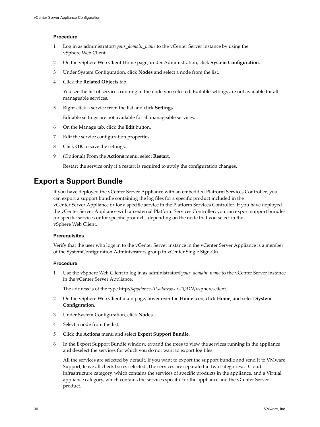### <span id="page-29-0"></span>**Procedure**

- 1 Log in as administrator@*your\_domain\_name* to the vCenter Server instance by using the vSphere Web Client.
- 2 On the vSphere Web Client Home page, under Administration, click System Configuration.
- 3 Under System Configuration, click **Nodes** and select a node from the list.
- 4 Click the **Related Objects** tab.

You see the list of services running in the node you selected. Editable settings are not available for all manageable services.

5 Right-click a service from the list and click **Settings**.

Editable settings are not available for all manageable services.

- 6 On the Manage tab, click the **Edit** button.
- 7 Edit the service configuration properties.
- 8 Click **OK** to save the settings.
- 9 (Optional) From the **Actions** menu, select **Restart**.

Restart the service only if a restart is required to apply the configuration changes.

## **Export a Support Bundle**

If you have deployed the vCenter Server Appliance with an embedded Platform Services Controller, you can export a support bundle containing the log files for a specific product included in the vCenter Server Appliance or for a specific service in the Platform Services Controller. If you have deployed the vCenter Server Appliance with an external Platform Services Controller, you can export support bundles for specific services or for specific products, depending on the node that you select in the vSphere Web Client.

## **Prerequisites**

Verify that the user who logs in to the vCenter Server instance in the vCenter Server Appliance is a member of the SystemConfiguration.Administrators group in vCenter Single Sign-On.

#### **Procedure**

1 Use the vSphere Web Client to log in as administrator@*your\_domain\_name* to the vCenter Server instance in the vCenter Server Appliance.

The address is of the type http://appliance-IP-address-or-FQDN/vsphere-client.

- 2 On the vSphere Web Client main page, hover over the **Home** icon, click **Home**, and select **System Configuration.**
- 3 Under System Configuration, click **Nodes**.
- 4 Select a node from the list.
- 5 Click the **Actions** menu and select **Export Support Bundle**.
- 6 In the Export Support Bundle window, expand the trees to view the services running in the appliance and deselect the services for which you do not want to export log files.

All the services are selected by default. If you want to export the support bundle and send it to VMware Support, leave all check boxes selected. The services are separated in two categories: a Cloud infrastructure category, which contains the services of specific products in the appliance, and a Virtual appliance category, which contains the services specific for the appliance and the vCenter Server product.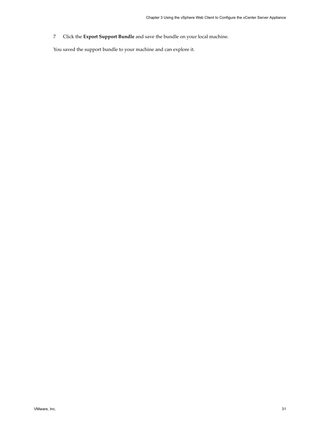7 Click the **Export Support Bundle** and save the bundle on your local machine.

You saved the support bundle to your machine and can explore it.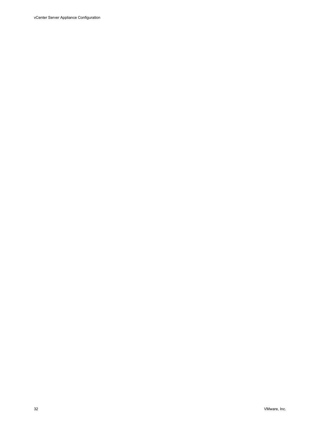vCenter Server Appliance Configuration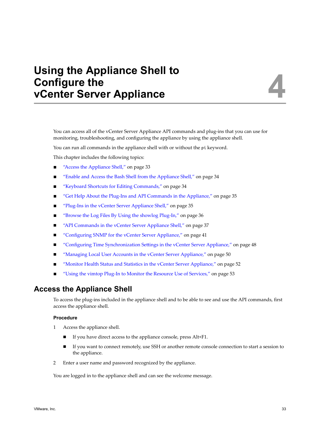# <span id="page-32-0"></span>**Using the Appliance Shell to Configure the vCenter Server Appliance 4**

You can access all of the vCenter Server Appliance API commands and plug-ins that you can use for monitoring, troubleshooting, and configuring the appliance by using the appliance shell.

You can run all commands in the appliance shell with or without the pi keyword.

This chapter includes the following topics:

- "Access the Appliance Shell," on page 33
- ["Enable and Access the Bash Shell from the Appliance Shell," on page 34](#page-33-0)
- ["Keyboard Shortcuts for Editing Commands," on page 34](#page-33-0)
- ["Get Help About the Plug-Ins and API Commands in the Appliance," on page 35](#page-34-0)
- ["Plug-Ins in the vCenter Server Appliance Shell," on page 35](#page-34-0)
- ["Browse the Log Files By Using the showlog Plug-In," on page 36](#page-35-0)
- ["API Commands in the vCenter Server Appliance Shell," on page 37](#page-36-0)
- n ["Configuring SNMP for the vCenter Server Appliance," on page 41](#page-40-0)
- "Configuring Time Synchronization Settings in the vCenter Server Appliance," on page 48
- ["Managing Local User Accounts in the vCenter Server Appliance," on page 50](#page-49-0)
- ["Monitor Health Status and Statistics in the vCenter Server Appliance," on page 52](#page-51-0)
- ["Using the vimtop Plug-In to Monitor the Resource Use of Services," on page 53](#page-52-0)

# **Access the Appliance Shell**

To access the plug-ins included in the appliance shell and to be able to see and use the API commands, first access the appliance shell.

### **Procedure**

- 1 Access the appliance shell.
	- If you have direct access to the appliance console, press Alt+F1.
	- n If you want to connect remotely, use SSH or another remote console connection to start a session to the appliance.
- 2 Enter a user name and password recognized by the appliance.

You are logged in to the appliance shell and can see the welcome message.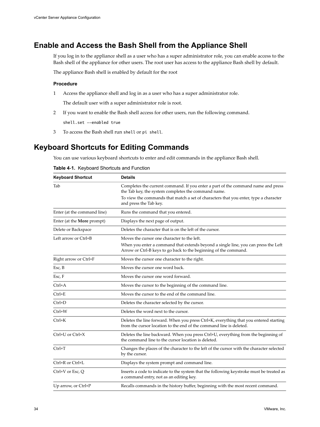# <span id="page-33-0"></span>**Enable and Access the Bash Shell from the Appliance Shell**

If you log in to the appliance shell as a user who has a super administrator role, you can enable access to the Bash shell of the appliance for other users. The root user has access to the appliance Bash shell by default.

The appliance Bash shell is enabled by default for the root

## **Procedure**

1 Access the appliance shell and log in as a user who has a super administrator role.

The default user with a super administrator role is root.

2 If you want to enable the Bash shell access for other users, run the following command.

shell.set --enabled true

3 To access the Bash shell run shell or pi shell.

# **Keyboard Shortcuts for Editing Commands**

You can use various keyboard shortcuts to enter and edit commands in the appliance Bash shell.

| <b>Keyboard Shortcut</b>          | <b>Details</b>                                                                                                                                               |  |  |
|-----------------------------------|--------------------------------------------------------------------------------------------------------------------------------------------------------------|--|--|
| Tab                               | Completes the current command. If you enter a part of the command name and press<br>the Tab key, the system completes the command name.                      |  |  |
|                                   | To view the commands that match a set of characters that you enter, type a character<br>and press the Tab key.                                               |  |  |
| Enter (at the command line)       | Runs the command that you entered.                                                                                                                           |  |  |
| Enter (at the <b>More</b> prompt) | Displays the next page of output.                                                                                                                            |  |  |
| Delete or Backspace               | Deletes the character that is on the left of the cursor.                                                                                                     |  |  |
| Left arrow or Ctrl+B              | Moves the cursor one character to the left.                                                                                                                  |  |  |
|                                   | When you enter a command that extends beyond a single line, you can press the Left<br>Arrow or Ctrl-B keys to go back to the beginning of the command.       |  |  |
| Right arrow or Ctrl+F             | Moves the cursor one character to the right.                                                                                                                 |  |  |
| Esc, B                            | Moves the cursor one word back.                                                                                                                              |  |  |
| Esc, F                            | Moves the cursor one word forward.                                                                                                                           |  |  |
| $Ctrl+A$                          | Moves the cursor to the beginning of the command line.                                                                                                       |  |  |
| $Ctrl+E$                          | Moves the cursor to the end of the command line.                                                                                                             |  |  |
| $Ctrl + D$                        | Deletes the character selected by the cursor.                                                                                                                |  |  |
| $Ctrl+W$                          | Deletes the word next to the cursor.                                                                                                                         |  |  |
| $Ctrl+K$                          | Deletes the line forward. When you press Ctrl+K, everything that you entered starting<br>from the cursor location to the end of the command line is deleted. |  |  |
| Ctrl+U or Ctrl+X                  | Deletes the line backward. When you press Ctrl+U, everything from the beginning of<br>the command line to the cursor location is deleted.                    |  |  |
| $Ctrl+T$                          | Changes the places of the character to the left of the cursor with the character selected<br>by the cursor.                                                  |  |  |
| Ctrl+R or Ctrl+L                  | Displays the system prompt and command line.                                                                                                                 |  |  |
| Ctrl+V or Esc, Q                  | Inserts a code to indicate to the system that the following keystroke must be treated as<br>a command entry, not as an editing key.                          |  |  |
| Up arrow, or Ctrl+P               | Recalls commands in the history buffer, beginning with the most recent command.                                                                              |  |  |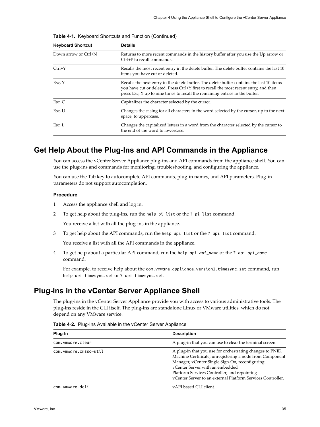| <b>Keyboard Shortcut</b> | <b>Details</b><br>Returns to more recent commands in the history buffer after you use the Up arrow or<br>Ctrl+P to recall commands.<br>Recalls the most recent entry in the delete buffer. The delete buffer contains the last 10<br>items you have cut or deleted.<br>Recalls the next entry in the delete buffer. The delete buffer contains the last 10 items<br>you have cut or deleted. Press Ctrl+Y first to recall the most recent entry, and then<br>press Esc, Y up to nine times to recall the remaining entries in the buffer. |  |  |
|--------------------------|-------------------------------------------------------------------------------------------------------------------------------------------------------------------------------------------------------------------------------------------------------------------------------------------------------------------------------------------------------------------------------------------------------------------------------------------------------------------------------------------------------------------------------------------|--|--|
| Down arrow or Ctrl+N     |                                                                                                                                                                                                                                                                                                                                                                                                                                                                                                                                           |  |  |
| $Ctrl+Y$                 |                                                                                                                                                                                                                                                                                                                                                                                                                                                                                                                                           |  |  |
| Esc, Y                   |                                                                                                                                                                                                                                                                                                                                                                                                                                                                                                                                           |  |  |
| Esc, C                   | Capitalizes the character selected by the cursor.                                                                                                                                                                                                                                                                                                                                                                                                                                                                                         |  |  |
| Esc, U                   | Changes the casing for all characters in the word selected by the cursor, up to the next<br>space, to uppercase.                                                                                                                                                                                                                                                                                                                                                                                                                          |  |  |
| Esc, L                   | Changes the capitalized letters in a word from the character selected by the cursor to<br>the end of the word to lowercase.                                                                                                                                                                                                                                                                                                                                                                                                               |  |  |

<span id="page-34-0"></span>**Table 4**‑**1.** Keyboard Shortcuts and Function (Continued)

# **Get Help About the Plug-Ins and API Commands in the Appliance**

You can access the vCenter Server Appliance plug-ins and API commands from the appliance shell. You can use the plug-ins and commands for monitoring, troubleshooting, and configuring the appliance.

You can use the Tab key to autocomplete API commands, plug-in names, and API parameters. Plug-in parameters do not support autocompletion.

#### **Procedure**

- 1 Access the appliance shell and log in.
- 2 To get help about the plug-ins, run the help pi list or the ? pi list command.

You receive a list with all the plug-ins in the appliance.

3 To get help about the API commands, run the help api list or the ? api list command.

You receive a list with all the API commands in the appliance.

4 To get help about a particular API command, run the help api *api\_name* or the ? api *api\_name* command.

For example, to receive help about the com. vmware.appliance.version1.timesync.set command, run help api timesync.set or ? api timesync.set.

# **Plug-Ins in the vCenter Server Appliance Shell**

The plug-ins in the vCenter Server Appliance provide you with access to various administrative tools. The plug-ins reside in the CLI itself. The plug-ins are standalone Linux or VMware utilities, which do not depend on any VMware service.

|  |  |  | <b>Table 4-2.</b> Plug-Ins Available in the vCenter Server Appliance |  |  |
|--|--|--|----------------------------------------------------------------------|--|--|
|--|--|--|----------------------------------------------------------------------|--|--|

| Plug-In               | <b>Description</b>                                                                                                                                                                                                                                                                                                        |
|-----------------------|---------------------------------------------------------------------------------------------------------------------------------------------------------------------------------------------------------------------------------------------------------------------------------------------------------------------------|
| com.vmware.clear      | A plug-in that you can use to clear the terminal screen.                                                                                                                                                                                                                                                                  |
| com.vmware.cmsso-util | A plug-in that you use for orchestrating changes to PNID,<br>Machine Certificate, unregistering a node from Component<br>Manager, vCenter Single Sign-On, reconfiguring<br>vCenter Server with an embedded<br>Platform Services Controller, and repointing<br>vCenter Server to an external Platform Services Controller. |
| com.vmware.dcli       | vAPI based CLI client.                                                                                                                                                                                                                                                                                                    |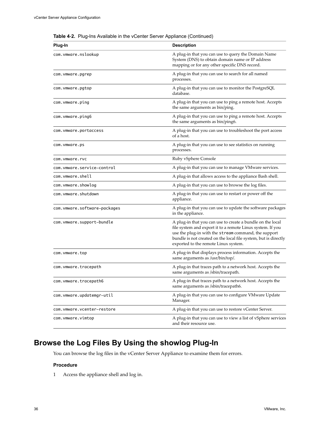## <span id="page-35-0"></span>**Table 4**‑**2.** Plug-Ins Available in the vCenter Server Appliance (Continued)

| Plug-In                      | <b>Description</b>                                                                                                                                                                                                                                                                          |
|------------------------------|---------------------------------------------------------------------------------------------------------------------------------------------------------------------------------------------------------------------------------------------------------------------------------------------|
| com.vmware.nslookup          | A plug-in that you can use to query the Domain Name<br>System (DNS) to obtain domain name or IP address<br>mapping or for any other specific DNS record.                                                                                                                                    |
| com.vmware.pgrep             | A plug-in that you can use to search for all named<br>processes.                                                                                                                                                                                                                            |
| com.vmware.pgtop             | A plug-in that you can use to monitor the PostgreSQL<br>database.                                                                                                                                                                                                                           |
| com.vmware.ping              | A plug-in that you can use to ping a remote host. Accepts<br>the same arguments as bin/ping.                                                                                                                                                                                                |
| com.vmware.ping6             | A plug-in that you can use to ping a remote host. Accepts<br>the same arguments as bin/ping6.                                                                                                                                                                                               |
| com.vmware.portaccess        | A plug-in that you can use to trouble shoot the port access<br>of a host.                                                                                                                                                                                                                   |
| com.vmware.ps                | A plug-in that you can use to see statistics on running<br>processes.                                                                                                                                                                                                                       |
| com.vmware.rvc               | Ruby vSphere Console                                                                                                                                                                                                                                                                        |
| com.vmware.service-control   | A plug-in that you can use to manage VMware services.                                                                                                                                                                                                                                       |
| com.vmware.shell             | A plug-in that allows access to the appliance Bash shell.                                                                                                                                                                                                                                   |
| com.vmware.showlog           | A plug-in that you can use to browse the log files.                                                                                                                                                                                                                                         |
| com.vmware.shutdown          | A plug-in that you can use to restart or power off the<br>appliance.                                                                                                                                                                                                                        |
| com.vmware.software-packages | A plug-in that you can use to update the software packages<br>in the appliance.                                                                                                                                                                                                             |
| com.vmware.support-bundle    | A plug-in that you can use to create a bundle on the local<br>file system and export it to a remote Linux system. If you<br>use the plug-in with the stream command, the support<br>bundle is not created on the local file system, but is directly<br>exported to the remote Linux system. |
| com.vmware.top               | A plug-in that displays process information. Accepts the<br>same arguments as /usr/bin/top/.                                                                                                                                                                                                |
| com.vmware.tracepath         | A plug-in that traces path to a network host. Accepts the<br>same arguments as /sbin/tracepath.                                                                                                                                                                                             |
| com.vmware.tracepath6        | A plug-in that traces path to a network host. Accepts the<br>same arguments as /sbin/tracepath6.                                                                                                                                                                                            |
| com.vmware.updatemgr-util    | A plug-in that you can use to configure VMware Update<br>Manager.                                                                                                                                                                                                                           |
| com.vmware.vcenter-restore   | A plug-in that you can use to restore vCenter Server.                                                                                                                                                                                                                                       |
| com.vmware.vimtop            | A plug-in that you can use to view a list of vSphere services<br>and their resource use.                                                                                                                                                                                                    |

# **Browse the Log Files By Using the showlog Plug-In**

You can browse the log files in the vCenter Server Appliance to examine them for errors.

## **Procedure**

1 Access the appliance shell and log in.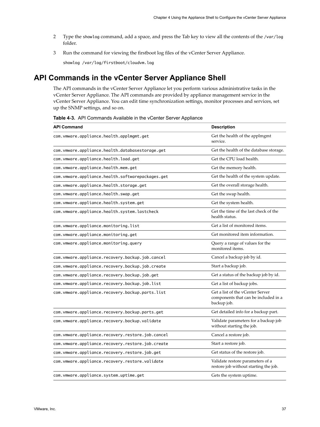- <span id="page-36-0"></span>2 Type the showlog command, add a space, and press the Tab key to view all the contents of the /var/log folder.
- 3 Run the command for viewing the firstboot log files of the vCenter Server Appliance.

showlog /var/log/firstboot/cloudvm.log

# **API Commands in the vCenter Server Appliance Shell**

The API commands in the vCenter Server Appliance let you perform various administrative tasks in the vCenter Server Appliance. The API commands are provided by appliance management service in the vCenter Server Appliance. You can edit time synchronization settings, monitor processes and services, set up the SNMP settings, and so on.

**Table 4**‑**3.** API Commands Available in the vCenter Server Appliance

| <b>API Command</b>                               | <b>Description</b>                                                                      |
|--------------------------------------------------|-----------------------------------------------------------------------------------------|
| com.vmware.appliance.health.applmgmt.get         | Get the health of the applmgmt<br>service.                                              |
| com.vmware.appliance.health.databasestorage.get  | Get the health of the database storage.                                                 |
| com.vmware.appliance.health.load.get             | Get the CPU load health.                                                                |
| com.vmware.appliance.health.mem.get              | Get the memory health.                                                                  |
| com.vmware.appliance.health.softwarepackages.get | Get the health of the system update.                                                    |
| com.vmware.appliance.health.storage.get          | Get the overall storage health.                                                         |
| com.vmware.appliance.health.swap.get             | Get the swap health.                                                                    |
| com.vmware.appliance.health.system.get           | Get the system health.                                                                  |
| com.vmware.appliance.health.system.lastcheck     | Get the time of the last check of the<br>health status.                                 |
| com.vmware.appliance.monitoring.list             | Get a list of monitored items.                                                          |
| com.vmware.appliance.monitoring.get              | Get monitored item information.                                                         |
| com.vmware.appliance.monitoring.query            | Query a range of values for the<br>monitored items.                                     |
| com.vmware.appliance.recovery.backup.job.cancel  | Cancel a backup job by id.                                                              |
| com.vmware.appliance.recovery.backup.job.create  | Start a backup job.                                                                     |
| com.vmware.appliance.recovery.backup.job.get     | Get a status of the backup job by id.                                                   |
| com.vmware.appliance.recovery.backup.job.list    | Get a list of backup jobs.                                                              |
| com.vmware.appliance.recovery.backup.parts.list  | Get a list of the vCenter Server<br>components that can be included in a<br>backup job. |
| com.vmware.appliance.recovery.backup.parts.get   | Get detailed info for a backup part.                                                    |
| com.vmware.appliance.recovery.backup.validate    | Validate parameters for a backup job<br>without starting the job.                       |
| com.vmware.appliance.recovery.restore.job.cancel | Cancel a restore job.                                                                   |
| com.vmware.appliance.recovery.restore.job.create | Start a restore job.                                                                    |
| com.vmware.appliance.recovery.restore.job.get    | Get status of the restore job.                                                          |
| com.vmware.appliance.recovery.restore.validate   | Validate restore parameters of a<br>restore job without starting the job.               |
| com.vmware.appliance.system.uptime.get           | Gets the system uptime.                                                                 |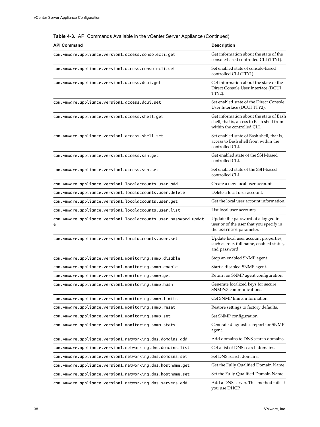| <b>Table 4-3.</b> API Commands Available in the vCenter Server Appliance (Continued) |
|--------------------------------------------------------------------------------------|
|--------------------------------------------------------------------------------------|

| <b>API Command</b>                                                   | <b>Description</b>                                                                                                 |
|----------------------------------------------------------------------|--------------------------------------------------------------------------------------------------------------------|
| com.vmware.appliance.version1.access.consolecli.get                  | Get information about the state of the<br>console-based controlled CLI (TTY1).                                     |
| com.vmware.appliance.version1.access.consolecli.set                  | Set enabled state of console-based<br>controlled CLI (TTY1).                                                       |
| com.vmware.appliance.version1.access.dcui.get                        | Get information about the state of the<br>Direct Console User Interface (DCUI<br>TTY2).                            |
| com.vmware.appliance.version1.access.dcui.set                        | Set enabled state of the Direct Console<br>User Interface (DCUI TTY2).                                             |
| com.vmware.appliance.version1.access.shell.get                       | Get information about the state of Bash<br>shell, that is, access to Bash shell from<br>within the controlled CLI. |
| com.vmware.appliance.version1.access.shell.set                       | Set enabled state of Bash shell, that is,<br>access to Bash shell from within the<br>controlled CLI.               |
| com.vmware.appliance.version1.access.ssh.get                         | Get enabled state of the SSH-based<br>controlled CLI.                                                              |
| com.vmware.appliance.version1.access.ssh.set                         | Set enabled state of the SSH-based<br>controlled CLI.                                                              |
| com.vmware.appliance.version1.localaccounts.user.add                 | Create a new local user account.                                                                                   |
| com.vmware.appliance.version1.localaccounts.user.delete              | Delete a local user account.                                                                                       |
| com.vmware.appliance.version1.localaccounts.user.get                 | Get the local user account information.                                                                            |
| com.vmware.appliance.version1.localaccounts.user.list                | List local user accounts.                                                                                          |
| com.vmware.appliance.version1.localaccounts.user.password.updat<br>e | Update the password of a logged in<br>user or of the user that you specify in<br>the username parameter.           |
| com.vmware.appliance.version1.localaccounts.user.set                 | Update local user account properties,<br>such as role, full name, enabled status,<br>and password.                 |
| com.vmware.appliance.version1.monitoring.snmp.disable                | Stop an enabled SNMP agent.                                                                                        |
| com.vmware.appliance.version1.monitoring.snmp.enable                 | Start a disabled SNMP agent.                                                                                       |
| com.vmware.appliance.version1.monitoring.snmp.get                    | Return an SNMP agent configuration.                                                                                |
| com.vmware.appliance.version1.monitoring.snmp.hash                   | Generate localized keys for secure<br>SNMPv3 communications.                                                       |
| com.vmware.appliance.version1.monitoring.snmp.limits                 | Get SNMP limits information.                                                                                       |
| com.vmware.appliance.version1.monitoring.snmp.reset                  | Restore settings to factory defaults.                                                                              |
| com.vmware.appliance.version1.monitoring.snmp.set                    | Set SNMP configuration.                                                                                            |
| com.vmware.appliance.version1.monitoring.snmp.stats                  | Generate diagnostics report for SNMP<br>agent.                                                                     |
| com.vmware.appliance.version1.networking.dns.domains.add             | Add domains to DNS search domains.                                                                                 |
| com.vmware.appliance.version1.networking.dns.domains.list            | Get a list of DNS search domains.                                                                                  |
| com.vmware.appliance.version1.networking.dns.domains.set             | Set DNS search domains.                                                                                            |
| com.vmware.appliance.version1.networking.dns.hostname.get            | Get the Fully Qualified Domain Name.                                                                               |
| com.vmware.appliance.version1.networking.dns.hostname.set            | Set the Fully Qualified Domain Name.                                                                               |
| com.vmware.appliance.version1.networking.dns.servers.add             | Add a DNS server. This method fails if<br>you use DHCP.                                                            |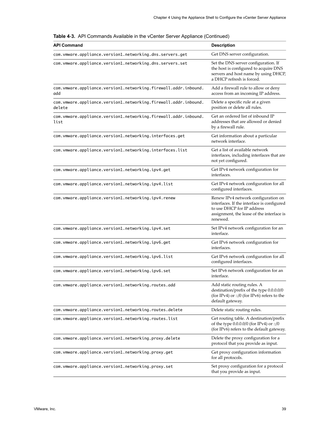| <b>API Command</b>                                                        | <b>Description</b>                                                                                                                                                       |
|---------------------------------------------------------------------------|--------------------------------------------------------------------------------------------------------------------------------------------------------------------------|
| com.vmware.appliance.version1.networking.dns.servers.get                  | Get DNS server configuration.                                                                                                                                            |
| com.vmware.appliance.version1.networking.dns.servers.set                  | Set the DNS server configuration. If<br>the host is configured to acquire DNS<br>servers and host name by using DHCP,<br>a DHCP refresh is forced.                       |
| com.vmware.appliance.version1.networking.firewall.addr.inbound.<br>add    | Add a firewall rule to allow or deny<br>access from an incoming IP address.                                                                                              |
| com.vmware.appliance.version1.networking.firewall.addr.inbound.<br>delete | Delete a specific rule at a given<br>position or delete all rules.                                                                                                       |
| com.vmware.appliance.version1.networking.firewall.addr.inbound.<br>list   | Get an ordered list of inbound IP<br>addresses that are allowed or denied<br>by a firewall rule.                                                                         |
| com.vmware.appliance.version1.networking.interfaces.get                   | Get information about a particular<br>network interface.                                                                                                                 |
| com.vmware.appliance.version1.networking.interfaces.list                  | Get a list of available network<br>interfaces, including interfaces that are<br>not yet configured.                                                                      |
| com.vmware.appliance.version1.networking.ipv4.get                         | Get IPv4 network configuration for<br>interfaces.                                                                                                                        |
| com.vmware.appliance.version1.networking.ipv4.list                        | Get IPv4 network configuration for all<br>configured interfaces.                                                                                                         |
| com.vmware.appliance.version1.networking.ipv4.renew                       | Renew IPv4 network configuration on<br>interfaces. If the interface is configured<br>to use DHCP for IP address<br>assignment, the lease of the interface is<br>renewed. |
| com.vmware.appliance.version1.networking.ipv4.set                         | Set IPv4 network configuration for an<br>interface.                                                                                                                      |
| com.vmware.appliance.version1.networking.ipv6.get                         | Get IPv6 network configuration for<br>interfaces.                                                                                                                        |
| com.vmware.appliance.version1.networking.ipv6.list                        | Get IPv6 network configuration for all<br>configured interfaces.                                                                                                         |
| com.vmware.appliance.version1.networking.ipv6.set                         | Set IPv6 network configuration for an<br>interface.                                                                                                                      |
| com.vmware.appliance.version1.networking.routes.add                       | Add static routing rules. A<br>destination/prefix of the type 0.0.0.0/0<br>(for IPv4) or ::/0 (for IPv6) refers to the<br>default gateway.                               |
| com.vmware.appliance.version1.networking.routes.delete                    | Delete static routing rules.                                                                                                                                             |
| com.vmware.appliance.version1.networking.routes.list                      | Get routing table. A destination/prefix<br>of the type 0.0.0.0/0 (for IPv4) or ::/0<br>(for IPv6) refers to the default gateway.                                         |
| com.vmware.appliance.version1.networking.proxy.delete                     | Delete the proxy configuration for a<br>protocol that you provide as input.                                                                                              |
| com.vmware.appliance.version1.networking.proxy.get                        | Get proxy configuration information<br>for all protocols.                                                                                                                |
| com.vmware.appliance.version1.networking.proxy.set                        | Set proxy configuration for a protocol<br>that you provide as input.                                                                                                     |

| <b>Table 4-3.</b> API Commands Available in the vCenter Server Appliance (Continued) |  |  |  |  |  |
|--------------------------------------------------------------------------------------|--|--|--|--|--|
|--------------------------------------------------------------------------------------|--|--|--|--|--|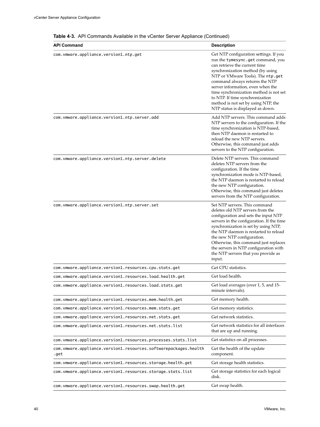| <b>API Command</b>                                                      | <b>Description</b>                                                                                                                                                                                                                                                                                                                                                                                                   |
|-------------------------------------------------------------------------|----------------------------------------------------------------------------------------------------------------------------------------------------------------------------------------------------------------------------------------------------------------------------------------------------------------------------------------------------------------------------------------------------------------------|
| com.vmware.appliance.version1.ntp.get                                   | Get NTP configuration settings. If you<br>run the tymesync.get command, you<br>can retrieve the current time<br>synchronization method (by using<br>NTP or VMware Tools). The ntp.get<br>command always returns the NTP<br>server information, even when the<br>time synchronization method is not set<br>to NTP. If time synchronization<br>method is not set by using NTP, the<br>NTP status is displayed as down. |
| com.vmware.appliance.version1.ntp.server.add                            | Add NTP servers. This command adds<br>NTP servers to the configuration. If the<br>time synchronization is NTP-based,<br>then NTP daemon is restarted to<br>reload the new NTP servers.<br>Otherwise, this command just adds<br>servers to the NTP configuration.                                                                                                                                                     |
| com.vmware.appliance.version1.ntp.server.delete                         | Delete NTP servers. This command<br>deletes NTP servers from the<br>configuration. If the time<br>synchronization mode is NTP-based,<br>the NTP daemon is restarted to reload<br>the new NTP configuration.<br>Otherwise, this command just deletes<br>servers from the NTP configuration.                                                                                                                           |
| com.vmware.appliance.version1.ntp.server.set                            | Set NTP servers. This command<br>deletes old NTP servers from the<br>configuration and sets the input NTP<br>servers in the configuration. If the time<br>synchronization is set by using NTP,<br>the NTP daemon is restarted to reload<br>the new NTP configuration.<br>Otherwise, this command just replaces<br>the servers in NTP configuration with<br>the NTP servers that you provide as<br>input.             |
| com.vmware.appliance.version1.resources.cpu.stats.get                   | Get CPU statistics.                                                                                                                                                                                                                                                                                                                                                                                                  |
| com.vmware.appliance.version1.resources.load.health.get                 | Get load health.                                                                                                                                                                                                                                                                                                                                                                                                     |
| com.vmware.appliance.version1.resources.load.stats.get                  | Get load averages (over 1, 5, and 15-<br>minute intervals).                                                                                                                                                                                                                                                                                                                                                          |
| com.vmware.appliance.version1.resources.mem.health.get                  | Get memory health.                                                                                                                                                                                                                                                                                                                                                                                                   |
| com.vmware.appliance.version1.resources.mem.stats.get                   | Get memory statistics.                                                                                                                                                                                                                                                                                                                                                                                               |
| com.vmware.appliance.version1.resources.net.stats.get                   | Get network statistics.                                                                                                                                                                                                                                                                                                                                                                                              |
| com.vmware.appliance.version1.resources.net.stats.list                  | Get network statistics for all interfaces<br>that are up and running.                                                                                                                                                                                                                                                                                                                                                |
| com.vmware.appliance.version1.resources.processes.stats.list            | Get statistics on all processes.                                                                                                                                                                                                                                                                                                                                                                                     |
| com.vmware.appliance.version1.resources.softwarepackages.health<br>.get | Get the health of the update<br>component.                                                                                                                                                                                                                                                                                                                                                                           |
| com.vmware.appliance.version1.resources.storage.health.get              | Get storage health statistics.                                                                                                                                                                                                                                                                                                                                                                                       |
| com.vmware.appliance.version1.resources.storage.stats.list              | Get storage statistics for each logical<br>disk.                                                                                                                                                                                                                                                                                                                                                                     |
| com.vmware.appliance.version1.resources.swap.health.get                 | Get swap health.                                                                                                                                                                                                                                                                                                                                                                                                     |

**Table 4**‑**3.** API Commands Available in the vCenter Server Appliance (Continued)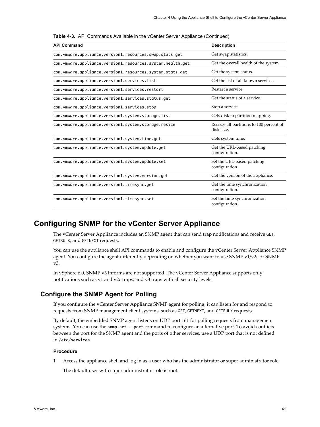| <b>API Command</b>                                        | <b>Description</b>                                     |
|-----------------------------------------------------------|--------------------------------------------------------|
| com.vmware.appliance.version1.resources.swap.stats.get    | Get swap statistics.                                   |
| com.vmware.appliance.version1.resources.system.health.get | Get the overall health of the system.                  |
| com.vmware.appliance.version1.resources.system.stats.get  | Get the system status.                                 |
| com.vmware.appliance.version1.services.list               | Get the list of all known services.                    |
| com.vmware.appliance.version1.services.restart            | Restart a service.                                     |
| com.vmware.appliance.version1.services.status.get         | Get the status of a service.                           |
| com.vmware.appliance.version1.services.stop               | Stop a service.                                        |
| com.vmware.appliance.version1.system.storage.list         | Gets disk to partition mapping.                        |
| com.vmware.appliance.version1.system.storage.resize       | Resizes all partitions to 100 percent of<br>disk size. |
| com.vmware.appliance.version1.system.time.get             | Gets system time.                                      |
| com.vmware.appliance.version1.system.update.get           | Get the URL-based patching<br>configuration.           |
| com.vmware.appliance.version1.system.update.set           | Set the URL-based patching<br>configuration.           |
| com.vmware.appliance.version1.system.version.get          | Get the version of the appliance.                      |
| com.vmware.appliance.version1.timesync.get                | Get the time synchronization<br>configuration.         |
| com.vmware.appliance.version1.timesync.set                | Set the time synchronization<br>configuration.         |

<span id="page-40-0"></span>**Table 4**‑**3.** API Commands Available in the vCenter Server Appliance (Continued)

# **Configuring SNMP for the vCenter Server Appliance**

The vCenter Server Appliance includes an SNMP agent that can send trap notifications and receive GET, GETBULK, and GETNEXT requests.

You can use the appliance shell API commands to enable and configure the vCenter Server Appliance SNMP agent. You configure the agent differently depending on whether you want to use SNMP v1/v2c or SNMP v3.

In vSphere 6.0, SNMP v3 informs are not supported. The vCenter Server Appliance supports only notifications such as v1 and v2c traps, and v3 traps with all security levels.

## **Configure the SNMP Agent for Polling**

If you configure the vCenter Server Appliance SNMP agent for polling, it can listen for and respond to requests from SNMP management client systems, such as GET, GETNEXT, and GETBULK requests.

By default, the embedded SNMP agent listens on UDP port 161 for polling requests from management systems. You can use the snmp.set --port command to configure an alternative port. To avoid conflicts between the port for the SNMP agent and the ports of other services, use a UDP port that is not defined in /etc/services.

#### **Procedure**

1 Access the appliance shell and log in as a user who has the administrator or super administrator role.

The default user with super administrator role is root.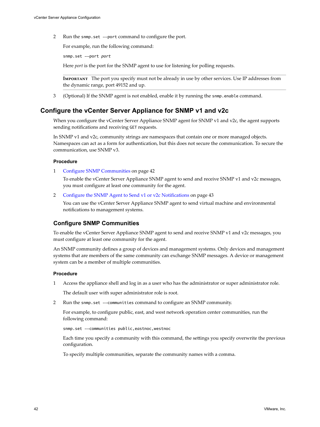<span id="page-41-0"></span>2 Run the snmp.set --port command to configure the port.

For example, run the following command:

```
snmp.set --port port
```
Here *port* is the port for the SNMP agent to use for listening for polling requests.

**IMPORTANT** The port you specify must not be already in use by other services. Use IP addresses from the dynamic range, port 49152 and up.

3 (Optional) If the SNMP agent is not enabled, enable it by running the snmp.enable command.

## **Configure the vCenter Server Appliance for SNMP v1 and v2c**

When you configure the vCenter Server Appliance SNMP agent for SNMP v1 and v2c, the agent supports sending notifications and receiving GET requests.

In SNMP v1 and v2c, community strings are namespaces that contain one or more managed objects. Namespaces can act as a form for authentication, but this does not secure the communication. To secure the communication, use SNMP v3.

#### **Procedure**

1 Configure SNMP Communities on page 42

To enable the vCenter Server Appliance SNMP agent to send and receive SNMP v1 and v2c messages, you must configure at least one community for the agent.

2 Configure the SNMP Agent to Send v1 or v2c Notifications on page 43

You can use the vCenter Server Appliance SNMP agent to send virtual machine and environmental notifications to management systems.

## **Configure SNMP Communities**

To enable the vCenter Server Appliance SNMP agent to send and receive SNMP v1 and v2c messages, you must configure at least one community for the agent.

An SNMP community defines a group of devices and management systems. Only devices and management systems that are members of the same community can exchange SNMP messages. A device or management system can be a member of multiple communities.

#### **Procedure**

1 Access the appliance shell and log in as a user who has the administrator or super administrator role.

The default user with super administrator role is root.

2 Run the snmp.set --communities command to configure an SNMP community.

For example, to configure public, east, and west network operation center communities, run the following command:

snmp.set --communities public,eastnoc,westnoc

Each time you specify a community with this command, the settings you specify overwrite the previous configuration.

To specify multiple communities, separate the community names with a comma.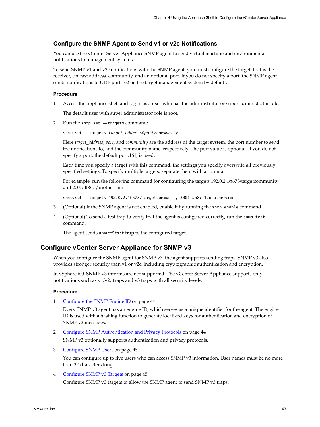## <span id="page-42-0"></span>**Configure the SNMP Agent to Send v1 or v2c Notifications**

You can use the vCenter Server Appliance SNMP agent to send virtual machine and environmental notifications to management systems.

To send SNMP v1 and v2c notifications with the SNMP agent, you must configure the target, that is the receiver, unicast address, community, and an optional port. If you do not specify a port, the SNMP agent sends notifications to UDP port 162 on the target management system by default.

### **Procedure**

1 Access the appliance shell and log in as a user who has the administrator or super administrator role.

The default user with super administrator role is root.

2 Run the snmp.set --targets command:

snmp.set --targets *target\_address@port/community*

Here *target\_address*, *port*, and *community* are the address of the target system, the port number to send the notifications to, and the community name, respectively. The port value is optional. If you do not specify a port, the default port,161, is used.

Each time you specify a target with this command, the settings you specify overwrite all previously specified settings. To specify multiple targets, separate them with a comma.

For example, run the following command for configuring the targets 192.0.2.1@678/targetcommunity and 2001:db8::1/anothercom:

snmp.set --targets 192.0.2.1@678/targetcommunity,2001:db8::1/anothercom

- 3 (Optional) If the SNMP agent is not enabled, enable it by running the snmp.enable command.
- 4 (Optional) To send a test trap to verify that the agent is configured correctly, run the snmp.test command.

The agent sends a warmStart trap to the configured target.

## **Configure vCenter Server Appliance for SNMP v3**

When you configure the SNMP agent for SNMP v3, the agent supports sending traps. SNMP v3 also provides stronger security than v1 or v2c, including cryptographic authentication and encryption.

In vSphere 6.0, SNMP v3 informs are not supported. The vCenter Server Appliance supports only notifications such as v1/v2c traps and v3 traps with all security levels.

### **Procedure**

1 [Configure the SNMP Engine ID on page 44](#page-43-0)

Every SNMP v3 agent has an engine ID, which serves as a unique identifier for the agent. The engine ID is used with a hashing function to generate localized keys for authentication and encryption of SNMP v3 messages.

2 [Configure SNMP Authentication and Privacy Protocols on page 44](#page-43-0)

SNMP v3 optionally supports authentication and privacy protocols.

3 [Configure SNMP Users on page 45](#page-44-0)

You can configure up to five users who can access SNMP v3 information. User names must be no more than 32 characters long.

4 [Configure SNMP v3 Targets on page 45](#page-44-0)

Configure SNMP v3 targets to allow the SNMP agent to send SNMP v3 traps.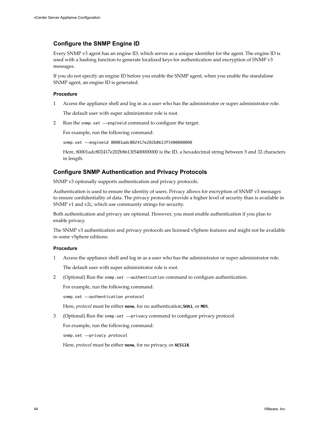## <span id="page-43-0"></span>**Configure the SNMP Engine ID**

Every SNMP v3 agent has an engine ID, which serves as a unique identifier for the agent. The engine ID is used with a hashing function to generate localized keys for authentication and encryption of SNMP v3 messages.

If you do not specify an engine ID before you enable the SNMP agent, when you enable the standalone SNMP agent, an engine ID is generated.

#### **Procedure**

1 Access the appliance shell and log in as a user who has the administrator or super administrator role.

The default user with super administrator role is root.

2 Run the snmp.set --engineid command to configure the target.

For example, run the following command:

snmp.set --engineid 80001adc802417e202b8613f5400000000

Here, 80001adc802417e202b8613f5400000000 is the ID, a hexadecimal string between 5 and 32 characters in length.

## **Configure SNMP Authentication and Privacy Protocols**

SNMP v3 optionally supports authentication and privacy protocols.

Authentication is used to ensure the identity of users. Privacy allows for encryption of SNMP v3 messages to ensure confidentiality of data. The privacy protocols provide a higher level of security than is available in SNMP v1 and v2c, which use community strings for security.

Both authentication and privacy are optional. However, you must enable authentication if you plan to enable privacy.

The SNMP v3 authentication and privacy protocols are licensed vSphere features and might not be available in some vSphere editions.

## **Procedure**

1 Access the appliance shell and log in as a user who has the administrator or super administrator role.

The default user with super administrator role is root.

2 (Optional) Run the snmp.set --authentication command to configure authentication.

For example, run the following command:

snmp.set --authentication *protocol*

Here, *protocol* must be either **none**, for no authentication,**SHA1**, or **MD5**.

3 (Optional) Run the snmp.set --privacy command to configure privacy protocol.

For example, run the following command:

snmp.set --privacy *protocol*

Here, *protocol* must be either **none**, for no privacy, or **AES128**.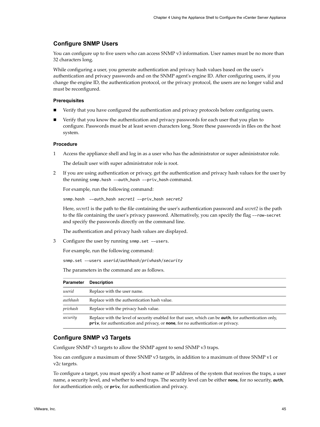## <span id="page-44-0"></span>**Configure SNMP Users**

You can configure up to five users who can access SNMP v3 information. User names must be no more than 32 characters long.

While configuring a user, you generate authentication and privacy hash values based on the user's authentication and privacy passwords and on the SNMP agent's engine ID. After configuring users, if you change the engine ID, the authentication protocol, or the privacy protocol, the users are no longer valid and must be reconfigured.

## **Prerequisites**

- Verify that you have configured the authentication and privacy protocols before configuring users.
- n Verify that you know the authentication and privacy passwords for each user that you plan to configure. Passwords must be at least seven characters long. Store these passwords in files on the host system.

#### **Procedure**

1 Access the appliance shell and log in as a user who has the administrator or super administrator role.

The default user with super administrator role is root.

2 If you are using authentication or privacy, get the authentication and privacy hash values for the user by the running snmp.hash --auth\_hash --priv\_hash command.

For example, run the following command:

snmp.hash --auth\_hash *secret1* --priv\_hash *secret2*

Here, *secret1* is the path to the file containing the user's authentication password and *secret2* is the path to the file containing the user's privacy password. Alternatively, you can specify the flag --raw-secret and specify the passwords directly on the command line.

The authentication and privacy hash values are displayed.

3 Configure the user by running snmp.set --users.

For example, run the following command:

snmp.set --users *userid*/*authhash*/*privhash*/*security*

The parameters in the command are as follows.

| <b>Parameter</b> | <b>Description</b>                                                                                                                                                                                |
|------------------|---------------------------------------------------------------------------------------------------------------------------------------------------------------------------------------------------|
| userid           | Replace with the user name.                                                                                                                                                                       |
| authhash         | Replace with the authentication hash value.                                                                                                                                                       |
| privhash         | Replace with the privacy hash value.                                                                                                                                                              |
| security         | Replace with the level of security enabled for that user, which can be <b>auth</b> , for authentication only,<br>priv, for authentication and privacy, or none, for no authentication or privacy. |

## **Configure SNMP v3 Targets**

Configure SNMP v3 targets to allow the SNMP agent to send SNMP v3 traps.

You can configure a maximum of three SNMP v3 targets, in addition to a maximum of three SNMP v1 or v2c targets.

To configure a target, you must specify a host name or IP address of the system that receives the traps, a user name, a security level, and whether to send traps. The security level can be either **none**, for no security, **auth**, for authentication only, or **priv**, for authentication and privacy.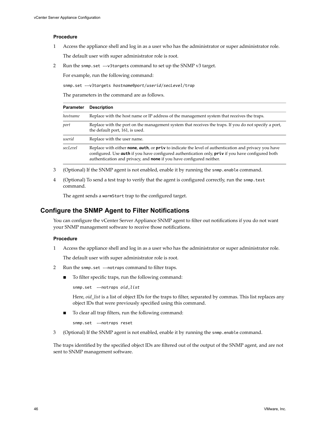#### <span id="page-45-0"></span>**Procedure**

- 1 Access the appliance shell and log in as a user who has the administrator or super administrator role. The default user with super administrator role is root.
- 2 Run the snmp.set --v3targets command to set up the SNMP v3 target.

For example, run the following command:

snmp.set --v3targets *hostname*@*port*/*userid*/*secLevel*/trap

The parameters in the command are as follows.

| Parameter                                                                                                                                        | <b>Description</b>                                                                                                                                                                                                                                                                                                   |  |  |
|--------------------------------------------------------------------------------------------------------------------------------------------------|----------------------------------------------------------------------------------------------------------------------------------------------------------------------------------------------------------------------------------------------------------------------------------------------------------------------|--|--|
| hostname                                                                                                                                         | Replace with the host name or IP address of the management system that receives the traps.                                                                                                                                                                                                                           |  |  |
| Replace with the port on the management system that receives the traps. If you do not specify a port,<br>port<br>the default port, 161, is used. |                                                                                                                                                                                                                                                                                                                      |  |  |
| userid                                                                                                                                           | Replace with the user name.                                                                                                                                                                                                                                                                                          |  |  |
| secLevel                                                                                                                                         | Replace with either <b>none, auth,</b> or <b>priv</b> to indicate the level of authentication and privacy you have<br>configured. Use <b>auth</b> if you have configured authentication only, <b>priv</b> if you have configured both<br>authentication and privacy, and <b>none</b> if you have configured neither. |  |  |

- 3 (Optional) If the SNMP agent is not enabled, enable it by running the snmp.enable command.
- 4 (Optional) To send a test trap to verify that the agent is configured correctly, run the snmp.test command.

The agent sends a warmStart trap to the configured target.

## **Configure the SNMP Agent to Filter Notifications**

You can configure the vCenter Server Appliance SNMP agent to filter out notifications if you do not want your SNMP management software to receive those notifications.

#### **Procedure**

1 Access the appliance shell and log in as a user who has the administrator or super administrator role.

The default user with super administrator role is root.

- 2 Run the snmp.set --notraps command to filter traps.
	- To filter specific traps, run the following command:

snmp.set --notraps *oid\_list*

Here, *oid\_list* is a list of object IDs for the traps to filter, separated by commas. This list replaces any object IDs that were previously specified using this command.

To clear all trap filters, run the following command:

snmp.set --notraps reset

3 (Optional) If the SNMP agent is not enabled, enable it by running the snmp.enable command.

The traps identified by the specified object IDs are filtered out of the output of the SNMP agent, and are not sent to SNMP management software.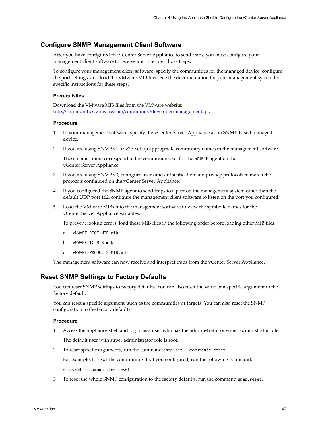## <span id="page-46-0"></span>**Configure SNMP Management Client Software**

After you have configured the vCenter Server Appliance to send traps, you must configure your management client software to receive and interpret those traps.

To configure your management client software, specify the communities for the managed device, configure the port settings, and load the VMware MIB files. See the documentation for your management system for specific instructions for these steps.

#### **Prerequisites**

Download the VMware MIB files from the VMware website: http://communities.vmware.com/community/developer/managementapi.

#### **Procedure**

- 1 In your management software, specify the vCenter Server Appliance as an SNMP-based managed device.
- 2 If you are using SNMP v1 or v2c, set up appropriate community names in the management software.

These names must correspond to the communities set for the SNMP agent on the vCenter Server Appliance.

- 3 If you are using SNMP v3, configure users and authentication and privacy protocols to match the protocols configured on the vCenter Server Appliance.
- 4 If you configured the SNMP agent to send traps to a port on the management system other than the default UDP port 162, configure the management client software to listen on the port you configured.
- 5 Load the VMware MIBs into the management software to view the symbolic names for the vCenter Server Appliance variables.

To prevent lookup errors, load these MIB files in the following order before loading other MIB files:

- a VMWARE-ROOT-MIB.mib
- b VMWARE-TC-MIB.mib
- c VMWARE-PRODUCTS-MIB.mib

The management software can now receive and interpret traps from the vCenter Server Appliance.

## **Reset SNMP Settings to Factory Defaults**

You can reset SNMP settings to factory defaults. You can also reset the value of a specific argument to the factory default.

You can reset a specific argument, such as the communities or targets. You can also reset the SNMP configuration to the factory defaults.

#### **Procedure**

- 1 Access the appliance shell and log in as a user who has the administrator or super administrator role. The default user with super administrator role is root.
- 2 To reset specific arguments, run the command snmp.set --*arguments* reset.

For example, to reset the communities that you configured, run the following command:

snmp.set --communities reset

3 To reset the whole SNMP configuration to the factory defaults, run the command snmp.reset.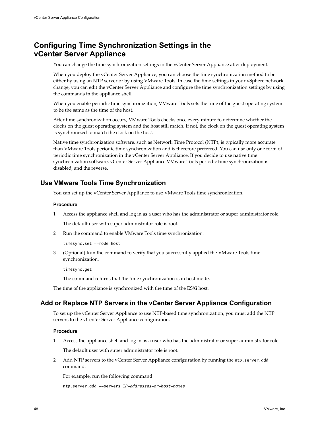# <span id="page-47-0"></span>**Configuring Time Synchronization Settings in the vCenter Server Appliance**

You can change the time synchronization settings in the vCenter Server Appliance after deployment.

When you deploy the vCenter Server Appliance, you can choose the time synchronization method to be either by using an NTP server or by using VMware Tools. In case the time settings in your vSphere network change, you can edit the vCenter Server Appliance and configure the time synchronization settings by using the commands in the appliance shell.

When you enable periodic time synchronization, VMware Tools sets the time of the guest operating system to be the same as the time of the host.

After time synchronization occurs, VMware Tools checks once every minute to determine whether the clocks on the guest operating system and the host still match. If not, the clock on the guest operating system is synchronized to match the clock on the host.

Native time synchronization software, such as Network Time Protocol (NTP), is typically more accurate than VMware Tools periodic time synchronization and is therefore preferred. You can use only one form of periodic time synchronization in the vCenter Server Appliance. If you decide to use native time synchronization software, vCenter Server Appliance VMware Tools periodic time synchronization is disabled, and the reverse.

## **Use VMware Tools Time Synchronization**

You can set up the vCenter Server Appliance to use VMware Tools time synchronization.

## **Procedure**

1 Access the appliance shell and log in as a user who has the administrator or super administrator role.

The default user with super administrator role is root.

2 Run the command to enable VMware Tools time synchronization.

timesync.set --mode host

3 (Optional) Run the command to verify that you successfully applied the VMware Tools time synchronization.

timesync.get

The command returns that the time synchronization is in host mode.

The time of the appliance is synchronized with the time of the ESXi host.

## **Add or Replace NTP Servers in the vCenter Server Appliance Configuration**

To set up the vCenter Server Appliance to use NTP-based time synchronization, you must add the NTP servers to the vCenter Server Appliance configuration.

## **Procedure**

1 Access the appliance shell and log in as a user who has the administrator or super administrator role.

The default user with super administrator role is root.

2 Add NTP servers to the vCenter Server Appliance configuration by running the ntp.server.add command.

For example, run the following command:

ntp.server.add --servers *IP-addresses-or-host-names*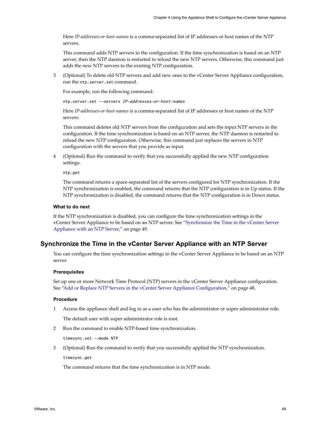<span id="page-48-0"></span>Here *IP-addresses-or-host-names* is a comma-separated list of IP addresses or host names of the NTP servers.

This command adds NTP servers to the configuration. If the time synchronization is based on an NTP server, then the NTP daemon is restarted to reload the new NTP servers. Otherwise, this command just adds the new NTP servers to the existing NTP configuration.

3 (Optional) To delete old NTP servers and add new ones to the vCenter Server Appliance configuration, run the ntp.server.set command.

For example, run the following command:

ntp.server.set --servers *IP-addresses-or-host-names*

Here *IP-addresses-or-host-names* is a comma-separated list of IP addresses or host names of the NTP servers.

This command deletes old NTP servers from the configuration and sets the input NTP servers in the configuration. If the time synchronization is based on an NTP server, the NTP daemon is restarted to reload the new NTP configuration. Otherwise, this command just replaces the servers in NTP configuration with the servers that you provide as input.

4 (Optional) Run the command to verify that you successfully applied the new NTP configuration settings.

ntp.get

The command returns a space-separated list of the servers configured for NTP synchronization. If the NTP synchronization is enabled, the command returns that the NTP configuration is in Up status. If the NTP synchronization is disabled, the command returns that the NTP configuration is in Down status.

#### **What to do next**

If the NTP synchronization is disabled, you can configure the time synchronization settings in the vCenter Server Appliance to be based on an NTP server. See "Synchronize the Time in the vCenter Server Appliance with an NTP Server," on page 49.

## **Synchronize the Time in the vCenter Server Appliance with an NTP Server**

You can configure the time synchronization settings in the vCenter Server Appliance to be based on an NTP server.

#### **Prerequisites**

Set up one or more Network Time Protocol (NTP) servers in the vCenter Server Appliance configuration. See "Add or Replace NTP Servers in the vCenter Server Appliance Configuration," on page 48.

### **Procedure**

1 Access the appliance shell and log in as a user who has the administrator or super administrator role.

The default user with super administrator role is root.

2 Run the command to enable NTP-based time synchronization.

timesync.set --mode NTP

3 (Optional) Run the command to verify that you successfully applied the NTP synchronization.

timesync.get

The command returns that the time synchronization is in NTP mode.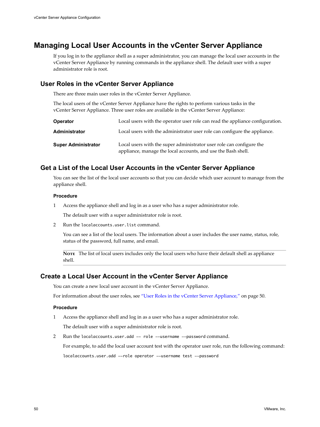# <span id="page-49-0"></span>**Managing Local User Accounts in the vCenter Server Appliance**

If you log in to the appliance shell as a super administrator, you can manage the local user accounts in the vCenter Server Appliance by running commands in the appliance shell. The default user with a super administrator role is root.

## **User Roles in the vCenter Server Appliance**

There are three main user roles in the vCenter Server Appliance.

The local users of the vCenter Server Appliance have the rights to perform various tasks in the vCenter Server Appliance. Three user roles are available in the vCenter Server Appliance:

| <b>Operator</b>            | Local users with the operator user role can read the appliance configuration.                                                         |
|----------------------------|---------------------------------------------------------------------------------------------------------------------------------------|
| <b>Administrator</b>       | Local users with the administrator user role can configure the appliance.                                                             |
| <b>Super Administrator</b> | Local users with the super administrator user role can configure the<br>appliance, manage the local accounts, and use the Bash shell. |

## **Get a List of the Local User Accounts in the vCenter Server Appliance**

You can see the list of the local user accounts so that you can decide which user account to manage from the appliance shell.

## **Procedure**

1 Access the appliance shell and log in as a user who has a super administrator role.

The default user with a super administrator role is root.

2 Run the localaccounts.user.list command.

You can see a list of the local users. The information about a user includes the user name, status, role, status of the password, full name, and email.

Nore The list of local users includes only the local users who have their default shell as appliance shell.

## **Create a Local User Account in the vCenter Server Appliance**

You can create a new local user account in the vCenter Server Appliance.

For information about the user roles, see "User Roles in the vCenter Server Appliance," on page 50.

## **Procedure**

1 Access the appliance shell and log in as a user who has a super administrator role.

The default user with a super administrator role is root.

2 Run the localaccounts.user.add -- role --username --password command.

For example, to add the local user account test with the operator user role, run the following command:

localaccounts.user.add --role operator --username test --password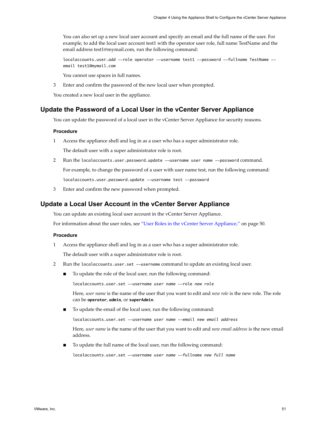<span id="page-50-0"></span>You can also set up a new local user account and specify an email and the full name of the user. For example, to add the local user account test1 with the operator user role, full name TestName and the email address test1@mymail.com, run the following command:

localaccounts.user.add --role operator --username test1 --password --fullname TestName - email test1@mymail.com

You cannot use spaces in full names.

3 Enter and confirm the password of the new local user when prompted.

You created a new local user in the appliance.

## **Update the Password of a Local User in the vCenter Server Appliance**

You can update the password of a local user in the vCenter Server Appliance for security reasons.

### **Procedure**

- 1 Access the appliance shell and log in as a user who has a super administrator role. The default user with a super administrator role is root.
- 2 Run the localaccounts.user.password.update --username user name --password command. For example, to change the password of a user with user name test, run the following command: localaccounts.user.password.update --username test --password
- 3 Enter and confirm the new password when prompted.

## **Update a Local User Account in the vCenter Server Appliance**

You can update an existing local user account in the vCenter Server Appliance.

For information about the user roles, see ["User Roles in the vCenter Server Appliance," on page 50.](#page-49-0)

#### **Procedure**

1 Access the appliance shell and log in as a user who has a super administrator role.

The default user with a super administrator role is root.

- 2 Run the localaccounts.user.set --username command to update an existing local user.
	- To update the role of the local user, run the following command:

localaccounts.user.set --username *user name* --role *new role*

Here, *user name* is the name of the user that you want to edit and *new role* is the new role. The role can be **operator**, **admin**, or **superAdmin**.

■ To update the email of the local user, run the following command:

localaccounts.user.set --username *user name* --email *new email address*

Here, *user name* is the name of the user that you want to edit and *new email address* is the new email address.

To update the full name of the local user, run the following command:

localaccounts.user.set --username *user name* --fullname *new full name*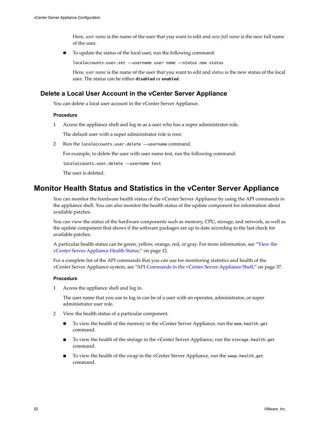<span id="page-51-0"></span>Here, *user name* is the name of the user that you want to edit and *new full name* is the new full name of the user.

To update the status of the local user, run the following command:

localaccounts.user.set --username *user name* --status *new status*

Here, *user name* is the name of the user that you want to edit and *status* is the new status of the local user. The status can be either **disabled** or **enabled**.

## **Delete a Local User Account in the vCenter Server Appliance**

You can delete a local user account in the vCenter Server Appliance.

#### **Procedure**

1 Access the appliance shell and log in as a user who has a super administrator role.

The default user with a super administrator role is root.

2 Run the localaccounts.user.delete --username command.

For example, to delete the user with user name test, run the following command:

localaccounts.user.delete --username test

The user is deleted.

# **Monitor Health Status and Statistics in the vCenter Server Appliance**

You can monitor the hardware health status of the vCenter Server Appliance by using the API commands in the appliance shell. You can also monitor the health status of the update component for information about available patches.

You can view the status of the hardware components such as memory, CPU, storage, and network, as well as the update component that shows if the software packages are up to date according to the last check for available patches.

A particular health status can be green, yellow, orange, red, or gray. For more information, see ["View the](#page-11-0) [vCenter Server Appliance Health Status," on page 12.](#page-11-0)

For a complete list of the API commands that you can use for monitoring statistics and health of the vCenter Server Appliance system, see ["API Commands in the vCenter Server Appliance Shell," on page 37.](#page-36-0)

## **Procedure**

1 Access the appliance shell and log in.

The user name that you use to log in can be of a user with an operator, administrator, or super administrator user role.

- 2 View the health status of a particular component.
	- To view the health of the memory in the vCenter Server Appliance, run the mem.health.get command.
	- n To view the health of the storage in the vCenter Server Appliance, run the storage.health.get command.
	- n To view the health of the swap in the vCenter Server Appliance, run the swap.health.get command.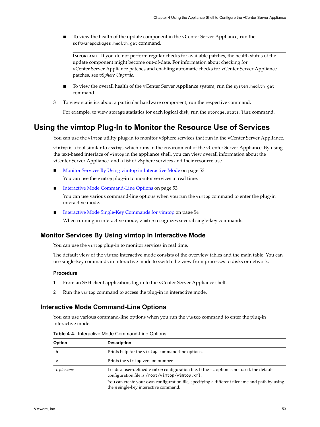<span id="page-52-0"></span>n To view the health of the update component in the vCenter Server Appliance, run the softwarepackages.health.get command.

**IMPORTANT** If you do not perform regular checks for available patches, the health status of the update component might become out-of-date. For information about checking for vCenter Server Appliance patches and enabling automatic checks for vCenter Server Appliance patches, see *vSphere Upgrade*.

- n To view the overall health of the vCenter Server Appliance system, run the system.health.get command.
- 3 To view statistics about a particular hardware component, run the respective command.

For example, to view storage statistics for each logical disk, run the storage.stats.list command.

# **Using the vimtop Plug-In to Monitor the Resource Use of Services**

You can use the vimtop utility plug-in to monitor vSphere services that run in the vCenter Server Appliance.

vimtop is a tool similar to esxtop, which runs in the environment of the vCenter Server Appliance. By using the text-based interface of vimtop in the appliance shell, you can view overall information about the vCenter Server Appliance, and a list of vSphere services and their resource use.

Monitor Services By Using vimtop in Interactive Mode on page 53

You can use the vimtop plug-in to monitor services in real time.

Interactive Mode Command-Line Options on page 53

You can use various command-line options when you run the vimtop command to enter the plug-in interactive mode.

[Interactive Mode Single-Key Commands for vimtop on page 54](#page-53-0)

When running in interactive mode, vimtop recognizes several single-key commands.

## **Monitor Services By Using vimtop in Interactive Mode**

You can use the vimtop plug-in to monitor services in real time.

The default view of the vimtop interactive mode consists of the overview tables and the main table. You can use single-key commands in interactive mode to switch the view from processes to disks or network.

#### **Procedure**

- 1 From an SSH client application, log in to the vCenter Server Appliance shell.
- 2 Run the vimtop command to access the plug-in in interactive mode.

## **Interactive Mode Command-Line Options**

You can use various command-line options when you run the vimtop command to enter the plug-in interactive mode.

| Option      | <b>Description</b>                                                                                                                            |  |
|-------------|-----------------------------------------------------------------------------------------------------------------------------------------------|--|
| -h          | Prints help for the vimtop command-line options.                                                                                              |  |
| $-V$        | Prints the vimtop version number.                                                                                                             |  |
| –c filename | Loads a user-defined vimtop configuration file. If the $-c$ option is not used, the default<br>configuration file is /root/vimtop/vimtop.xml. |  |
|             | You can create your own configuration file, specifying a different filename and path by using<br>the W single-key interactive command.        |  |

**Table 4**‑**4.** Interactive Mode Command-Line Options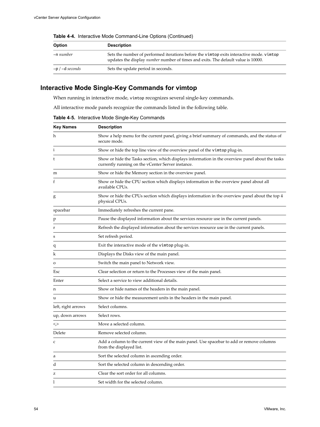| Option              | <b>Description</b>                                                                                                                                                            |
|---------------------|-------------------------------------------------------------------------------------------------------------------------------------------------------------------------------|
| $-$ n number        | Sets the number of performed iterations before the vimtop exits interactive mode. vimtop<br>updates the display number number of times and exits. The default value is 10000. |
| $-p$ / $-d$ seconds | Sets the update period in seconds.                                                                                                                                            |

<span id="page-53-0"></span>**Table 4**‑**4.** Interactive Mode Command-Line Options (Continued)

# **Interactive Mode Single-Key Commands for vimtop**

When running in interactive mode, vimtop recognizes several single-key commands.

All interactive mode panels recognize the commands listed in the following table.

| <b>Key Names</b>   | <b>Description</b>                                                                                                                                    |  |
|--------------------|-------------------------------------------------------------------------------------------------------------------------------------------------------|--|
| h                  | Show a help menu for the current panel, giving a brief summary of commands, and the status of<br>secure mode.                                         |  |
| i                  | Show or hide the top line view of the overview panel of the vimtop plug-in.                                                                           |  |
| t                  | Show or hide the Tasks section, which displays information in the overview panel about the tasks<br>currently running on the vCenter Server instance. |  |
| m                  | Show or hide the Memory section in the overview panel.                                                                                                |  |
| f                  | Show or hide the CPU section which displays information in the overview panel about all<br>available CPUs.                                            |  |
| g                  | Show or hide the CPUs section which displays information in the overview panel about the top 4<br>physical CPUs.                                      |  |
| spacebar           | Immediately refreshes the current pane.                                                                                                               |  |
| p                  | Pause the displayed information about the services resource use in the current panels.                                                                |  |
| r                  | Refresh the displayed information about the services resource use in the current panels.                                                              |  |
| s                  | Set refresh period.                                                                                                                                   |  |
| q                  | Exit the interactive mode of the vimtop plug-in.                                                                                                      |  |
| k                  | Displays the Disks view of the main panel.                                                                                                            |  |
| 0                  | Switch the main panel to Network view.                                                                                                                |  |
| Esc                | Clear selection or return to the Processes view of the main panel.                                                                                    |  |
| Enter              | Select a service to view additional details.                                                                                                          |  |
| n                  | Show or hide names of the headers in the main panel.                                                                                                  |  |
| u                  | Show or hide the measurement units in the headers in the main panel.                                                                                  |  |
| left, right arrows | Select columns.                                                                                                                                       |  |
| up, down arrows    | Select rows.                                                                                                                                          |  |
| <,>                | Move a selected column.                                                                                                                               |  |
| Delete             | Remove selected column.                                                                                                                               |  |
| C                  | Add a column to the current view of the main panel. Use spacebar to add or remove columns<br>from the displayed list.                                 |  |
| a                  | Sort the selected column in ascending order.                                                                                                          |  |
| d                  | Sort the selected column in descending order.                                                                                                         |  |
| z                  | Clear the sort order for all columns.                                                                                                                 |  |
| 1                  | Set width for the selected column.                                                                                                                    |  |

**Table 4**‑**5.** Interactive Mode Single-Key Commands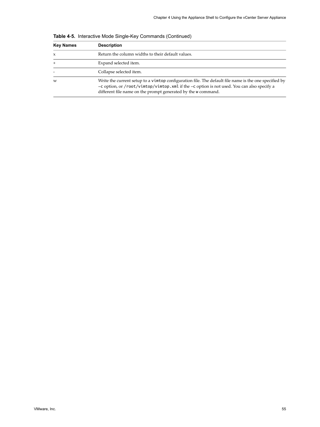| <b>Key Names</b> | <b>Description</b>                                                                                                                                                                                                                                                       |  |
|------------------|--------------------------------------------------------------------------------------------------------------------------------------------------------------------------------------------------------------------------------------------------------------------------|--|
| $\mathbf x$      | Return the column widths to their default values.                                                                                                                                                                                                                        |  |
| $\overline{+}$   | Expand selected item.                                                                                                                                                                                                                                                    |  |
|                  | Collapse selected item.                                                                                                                                                                                                                                                  |  |
| W                | Write the current setup to a vimtop configuration file. The default file name is the one specified by<br>$-c$ option, or /root/vimtop/vimtop.xml if the $-c$ option is not used. You can also specify a<br>different file name on the prompt generated by the w command. |  |

**Table 4**‑**5.** Interactive Mode Single-Key Commands (Continued)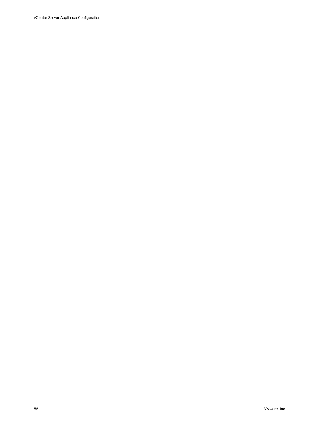vCenter Server Appliance Configuration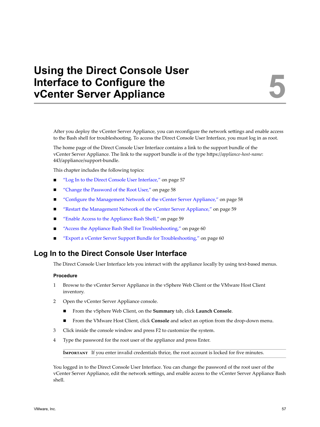# <span id="page-56-0"></span>**Using the Direct Console User Interface to Configure the value Breet Console Oser**<br>Interface to Configure the<br>vCenter Server Appliance

After you deploy the vCenter Server Appliance, you can reconfigure the network settings and enable access to the Bash shell for troubleshooting. To access the Direct Console User Interface, you must log in as root.

The home page of the Direct Console User Interface contains a link to the support bundle of the vCenter Server Appliance. The link to the support bundle is of the type https://appliance-host-name: 443/appliance/support-bundle.

This chapter includes the following topics:

- "Log In to the Direct Console User Interface," on page 57
- ["Change the Password of the Root User," on page 58](#page-57-0)
- ["Configure the Management Network of the vCenter Server Appliance," on page 58](#page-57-0)
- n ["Restart the Management Network of the vCenter Server Appliance," on page 59](#page-58-0)
- ["Enable Access to the Appliance Bash Shell," on page 59](#page-58-0)
- ["Access the Appliance Bash Shell for Troubleshooting," on page 60](#page-59-0)
- ["Export a vCenter Server Support Bundle for Troubleshooting," on page 60](#page-59-0)

# **Log In to the Direct Console User Interface**

The Direct Console User Interface lets you interact with the appliance locally by using text-based menus.

#### **Procedure**

- 1 Browse to the vCenter Server Appliance in the vSphere Web Client or the VMware Host Client inventory.
- 2 Open the vCenter Server Appliance console.
	- n From the vSphere Web Client, on the **Summary** tab, click **Launch Console**.
	- n From the VMware Host Client, click **Console** and select an option from the drop-down menu.
- 3 Click inside the console window and press F2 to customize the system.
- 4 Type the password for the root user of the appliance and press Enter.

**IMPORTANT** If you enter invalid credentials thrice, the root account is locked for five minutes.

You logged in to the Direct Console User Interface. You can change the password of the root user of the vCenter Server Appliance, edit the network settings, and enable access to the vCenter Server Appliance Bash shell.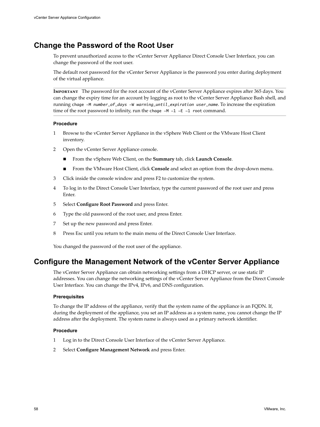# <span id="page-57-0"></span>**Change the Password of the Root User**

To prevent unauthorized access to the vCenter Server Appliance Direct Console User Interface, you can change the password of the root user.

The default root password for the vCenter Server Appliance is the password you enter during deployment of the virtual appliance.

**IMPORTANT** The password for the root account of the vCenter Server Appliance expires after 365 days. You can change the expiry time for an account by logging as root to the vCenter Server Appliance Bash shell, and running chage -M *number\_of\_days* -W *warning\_until\_expiration user\_name*. To increase the expiration time of the root password to infinity, run the chage  $-M -1 -E -1$  root command.

## **Procedure**

- 1 Browse to the vCenter Server Appliance in the vSphere Web Client or the VMware Host Client inventory.
- 2 Open the vCenter Server Appliance console.
	- n From the vSphere Web Client, on the **Summary** tab, click **Launch Console**.
	- From the VMware Host Client, click **Console** and select an option from the drop-down menu.
- 3 Click inside the console window and press F2 to customize the system.
- 4 To log in to the Direct Console User Interface, type the current password of the root user and press Enter.
- 5 Select **Configure Root Password** and press Enter.
- 6 Type the old password of the root user, and press Enter.
- 7 Set up the new password and press Enter.
- 8 Press Esc until you return to the main menu of the Direct Console User Interface.

You changed the password of the root user of the appliance.

# **Configure the Management Network of the vCenter Server Appliance**

The vCenter Server Appliance can obtain networking settings from a DHCP server, or use static IP addresses. You can change the networking settings of the vCenter Server Appliance from the Direct Console User Interface. You can change the IPv4, IPv6, and DNS configuration.

## **Prerequisites**

To change the IP address of the appliance, verify that the system name of the appliance is an FQDN. If, during the deployment of the appliance, you set an IP address as a system name, you cannot change the IP address after the deployment. The system name is always used as a primary network identifier.

#### **Procedure**

- 1 Log in to the Direct Console User Interface of the vCenter Server Appliance.
- 2 Select **Configure Management Network** and press Enter.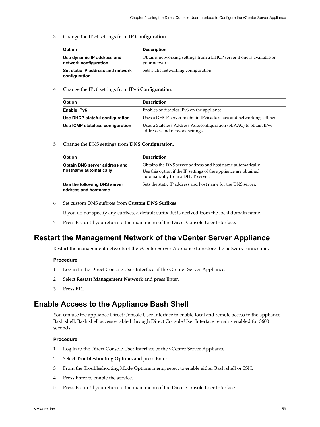<span id="page-58-0"></span>3 Change the IPv4 settings from **IP Configuration**.

| Option                                              | <b>Description</b>                                                                    |
|-----------------------------------------------------|---------------------------------------------------------------------------------------|
| Use dynamic IP address and<br>network configuration | Obtains networking settings from a DHCP server if one is available on<br>your network |
| Set static IP address and network<br>configuration  | Sets static networking configuration                                                  |

### 4 Change the IPv6 settings from IPv6 Configuration.

| Option                           | <b>Description</b>                                                                                  |
|----------------------------------|-----------------------------------------------------------------------------------------------------|
| Enable IPv6                      | Enables or disables IPv6 on the appliance                                                           |
| Use DHCP stateful configuration  | Uses a DHCP server to obtain IPv6 addresses and networking settings                                 |
| Use ICMP stateless configuration | Uses a Stateless Address Autoconfiguration (SLAAC) to obtain IPv6<br>addresses and network settings |

5 Change the DNS settings from DNS Configuration.

| Option                                                  | <b>Description</b>                                                                                                                                                   |
|---------------------------------------------------------|----------------------------------------------------------------------------------------------------------------------------------------------------------------------|
| Obtain DNS server address and<br>hostname automatically | Obtains the DNS server address and host name automatically.<br>Use this option if the IP settings of the appliance are obtained<br>automatically from a DHCP server. |
| Use the following DNS server<br>address and hostname    | Sets the static IP address and host name for the DNS server.                                                                                                         |

6 Set custom DNS suffixes from **Custom DNS Suffixes**.

If you do not specify any suffixes, a default suffix list is derived from the local domain name.

7 Press Esc until you return to the main menu of the Direct Console User Interface.

# **Restart the Management Network of the vCenter Server Appliance**

Restart the management network of the vCenter Server Appliance to restore the network connection.

#### **Procedure**

- 1 Log in to the Direct Console User Interface of the vCenter Server Appliance.
- 2 Select **Restart Management Network** and press Enter.
- 3 Press F11.

## **Enable Access to the Appliance Bash Shell**

You can use the appliance Direct Console User Interface to enable local and remote access to the appliance Bash shell. Bash shell access enabled through Direct Console User Interface remains enabled for 3600 seconds.

#### **Procedure**

- 1 Log in to the Direct Console User Interface of the vCenter Server Appliance.
- 2 Select **Troubleshooting Options** and press Enter.
- 3 From the Troubleshooting Mode Options menu, select to enable either Bash shell or SSH.
- 4 Press Enter to enable the service.
- 5 Press Esc until you return to the main menu of the Direct Console User Interface.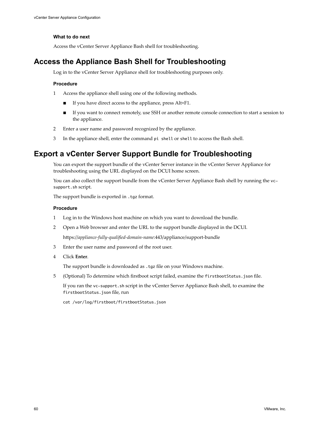## <span id="page-59-0"></span>**What to do next**

Access the vCenter Server Appliance Bash shell for troubleshooting.

# **Access the Appliance Bash Shell for Troubleshooting**

Log in to the vCenter Server Appliance shell for troubleshooting purposes only.

## **Procedure**

- 1 Access the appliance shell using one of the following methods.
	- If you have direct access to the appliance, press Alt+F1.
	- n If you want to connect remotely, use SSH or another remote console connection to start a session to the appliance.
- 2 Enter a user name and password recognized by the appliance.
- 3 In the appliance shell, enter the command pi shell or shell to access the Bash shell.

# **Export a vCenter Server Support Bundle for Troubleshooting**

You can export the support bundle of the vCenter Server instance in the vCenter Server Appliance for troubleshooting using the URL displayed on the DCUI home screen.

You can also collect the support bundle from the vCenter Server Appliance Bash shell by running the vcsupport.sh script.

The support bundle is exported in .tgz format.

## **Procedure**

- 1 Log in to the Windows host machine on which you want to download the bundle.
- 2 Open a Web browser and enter the URL to the support bundle displayed in the DCUI.

https://appliance-fully-qualified-domain-name:443/appliance/support-bundle

- 3 Enter the user name and password of the root user.
- 4 Click **Enter**.

The support bundle is downloaded as .tgz file on your Windows machine.

5 (Optional) To determine which firstboot script failed, examine the firstbootStatus.json file.

If you ran the vc-support.sh script in the vCenter Server Appliance Bash shell, to examine the firstbootStatus.json file, run

cat /var/log/firstboot/firstbootStatus.json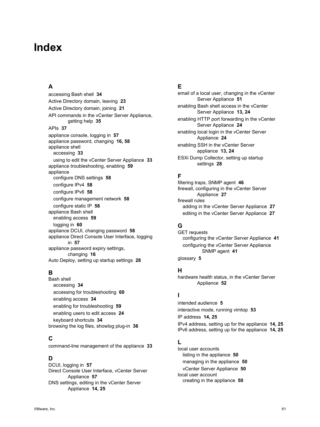# <span id="page-60-0"></span>**Index**

## **A**

accessing Bash shell **[34](#page-33-0)** Active Directory domain, leaving **[23](#page-22-0)** Active Directory domain, joining **[21](#page-20-0)** API commands in the vCenter Server Appliance, getting help **[35](#page-34-0)** APIs **[37](#page-36-0)** appliance console, logging in **[57](#page-56-0)** appliance password, changing **[16](#page-15-0), [58](#page-57-0)** appliance shell accessing **[33](#page-32-0)** using to edit the vCenter Server Appliance **[33](#page-32-0)** appliance troubleshooting, enabling **[59](#page-58-0)** appliance configure DNS settings **[58](#page-57-0)** configure IPv4 **[58](#page-57-0)** configure IPv6 **[58](#page-57-0)** configure management network **[58](#page-57-0)** configure static IP **[58](#page-57-0)** appliance Bash shell enabling access **[59](#page-58-0)** logging in **[60](#page-59-0)** appliance DCUI, changing password **[58](#page-57-0)** appliance Direct Console User Interface, logging in **[57](#page-56-0)** appliance password expiry settings, changing **[16](#page-15-0)** Auto Deploy, setting up startup settings **[28](#page-27-0)**

## **B**

Bash shell accessing **[34](#page-33-0)** accessing for troubleshooting **[60](#page-59-0)** enabling access **[34](#page-33-0)** enabling for troubleshooting **[59](#page-58-0)** enabling users to edit access **[24](#page-23-0)** keyboard shortcuts **[34](#page-33-0)** browsing the log files, showlog plug-in **[36](#page-35-0)**

# **C**

command-line management of the appliance **[33](#page-32-0)**

## **D**

DCUI, logging in **[57](#page-56-0)** Direct Console User Interface, vCenter Server Appliance **[57](#page-56-0)** DNS settings, editing in the vCenter Server Appliance **[14,](#page-13-0) [25](#page-24-0)**

## **E**

email of a local user, changing in the vCenter Server Appliance **[51](#page-50-0)** enabling Bash shell access in the vCenter Server Appliance **[13,](#page-12-0) [24](#page-23-0)** enabling HTTP port forwarding in the vCenter Server Appliance **[24](#page-23-0)** enabling local login in the vCenter Server Appliance **[24](#page-23-0)** enabling SSH in the vCenter Server appliance **[13,](#page-12-0) [24](#page-23-0)** ESXi Dump Collector, setting up startup settings **[28](#page-27-0)**

## **F**

filtering traps, SNMP agent **[46](#page-45-0)** firewall, configuring in the vCenter Server Appliance **[27](#page-26-0)** firewall rules adding in the vCenter Server Appliance **[27](#page-26-0)** editing in the vCenter Server Appliance **[27](#page-26-0)**

## **G**

GET requests configuring the vCenter Server Appliance **[41](#page-40-0)** configuring the vCenter Server Appliance SNMP agent **[41](#page-40-0)** glossary **[5](#page-4-0)**

## **H**

hardware health status, in the vCenter Server Appliance **[52](#page-51-0)**

## **I**

intended audience **[5](#page-4-0)** interactive mode, running vimtop **[53](#page-52-0)** IP address **[14](#page-13-0), [25](#page-24-0)** IPv4 address, setting up for the appliance **[14,](#page-13-0) [25](#page-24-0)** IPv6 address, setting up for the appliance **[14,](#page-13-0) [25](#page-24-0)**

## **L**

local user accounts listing in the appliance **[50](#page-49-0)** managing in the appliance **[50](#page-49-0)** vCenter Server Appliance **[50](#page-49-0)** local user account creating in the appliance **[50](#page-49-0)**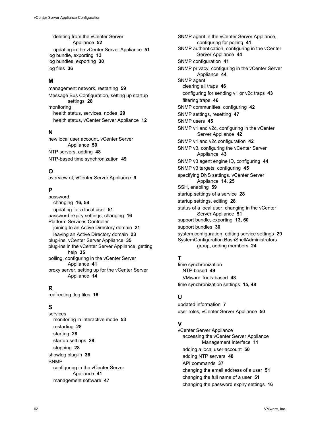deleting from the vCenter Server Appliance **[52](#page-51-0)** updating in the vCenter Server Appliance **[51](#page-50-0)** log bundle, exporting **[13](#page-12-0)** log bundles, exporting **[30](#page-29-0)** log files **[36](#page-35-0)**

## **M**

management network, restarting **[59](#page-58-0)** Message Bus Configuration, setting up startup settings **[28](#page-27-0)** monitoring health status, services, nodes **[29](#page-28-0)** health status, vCenter Server Appliance **[12](#page-11-0)**

## **N**

new local user account, vCenter Server Appliance **[50](#page-49-0)** NTP servers, adding **[48](#page-47-0)** NTP-based time synchronization **[49](#page-48-0)**

## **O**

overview of, vCenter Server Appliance **[9](#page-8-0)**

## **P**

password changing **[16,](#page-15-0) [58](#page-57-0)** updating for a local user **[51](#page-50-0)** password expiry settings, changing **[16](#page-15-0)** Platform Services Controller joining to an Active Directory domain **[21](#page-20-0)** leaving an Active Directory domain **[23](#page-22-0)** plug-ins, vCenter Server Appliance **[35](#page-34-0)** plug-ins in the vCenter Server Appliance, getting help **[35](#page-34-0)** polling, configuring in the vCenter Server Appliance **[41](#page-40-0)** proxy server, setting up for the vCenter Server Appliance **[14](#page-13-0)**

## **R**

redirecting, log files **[16](#page-15-0)**

## **S**

services monitoring in interactive mode **[53](#page-52-0)** restarting **[28](#page-27-0)** starting **[28](#page-27-0)** startup settings **[28](#page-27-0)** stopping **[28](#page-27-0)** showlog plug-in **[36](#page-35-0) SNMP** configuring in the vCenter Server Appliance **[41](#page-40-0)** management software **[47](#page-46-0)**

SNMP agent in the vCenter Server Appliance, configuring for polling **[41](#page-40-0)** SNMP authentication, configuring in the vCenter Server Appliance **[44](#page-43-0)** SNMP configuration **[41](#page-40-0)** SNMP privacy, configuring in the vCenter Server Appliance **[44](#page-43-0)** SNMP agent clearing all traps **[46](#page-45-0)** configuring for sending v1 or v2c traps **[43](#page-42-0)** filtering traps **[46](#page-45-0)** SNMP communities, configuring **[42](#page-41-0)** SNMP settings, resetting **[47](#page-46-0)** SNMP users **[45](#page-44-0)** SNMP v1 and v2c, configuring in the vCenter Server Appliance **[42](#page-41-0)** SNMP v1 and v2c configuration **[42](#page-41-0)** SNMP v3, configuring the vCenter Server Appliance **[43](#page-42-0)** SNMP v3 agent engine ID, configuring **[44](#page-43-0)** SNMP v3 targets, configuring **[45](#page-44-0)** specifying DNS settings, vCenter Server Appliance **[14,](#page-13-0) [25](#page-24-0)** SSH, enabling **[59](#page-58-0)** startup settings of a service **[28](#page-27-0)** startup settings, editing **[28](#page-27-0)** status of a local user, changing in the vCenter Server Appliance **[51](#page-50-0)** support bundle, exporting **[13,](#page-12-0) [60](#page-59-0)** support bundles **[30](#page-29-0)** system configuration, editing service settings **[29](#page-28-0)** SystemConfiguration.BashShellAdministrators group, adding members **[24](#page-23-0)**

## **T**

time synchronization NTP-based **[49](#page-48-0)** VMware Tools-based **[48](#page-47-0)** time synchronization settings **[15,](#page-14-0) [48](#page-47-0)**

## **U**

updated information **[7](#page-6-0)** user roles, vCenter Server Appliance **[50](#page-49-0)**

## **V**

vCenter Server Appliance accessing the vCenter Server Appliance Management Interface **[11](#page-10-0)** adding a local user account **[50](#page-49-0)** adding NTP servers **[48](#page-47-0)** API commands **[37](#page-36-0)** changing the email address of a user **[51](#page-50-0)** changing the full name of a user **[51](#page-50-0)** changing the password expiry settings **[16](#page-15-0)**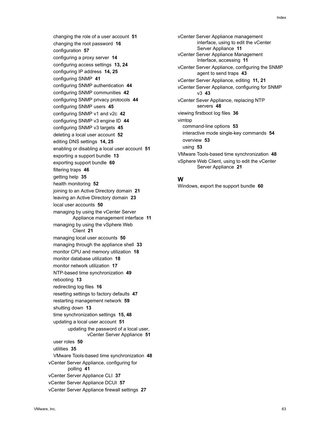changing the role of a user account **[51](#page-50-0)** changing the root password **[16](#page-15-0)** configuration **[57](#page-56-0)** configuring a proxy server **[14](#page-13-0)** configuring access settings **[13](#page-12-0), [24](#page-23-0)** configuring IP address **[14,](#page-13-0) [25](#page-24-0)** configuring SNMP **[41](#page-40-0)** configuring SNMP authentication **[44](#page-43-0)** configuring SNMP communities **[42](#page-41-0)** configuring SNMP privacy protocols **[44](#page-43-0)** configuring SNMP users **[45](#page-44-0)** configuring SNMP v1 and v2c **[42](#page-41-0)** configuring SNMP v3 engine ID **[44](#page-43-0)** configuring SNMP v3 targets **[45](#page-44-0)** deleting a local user account **[52](#page-51-0)** editing DNS settings **[14,](#page-13-0) [25](#page-24-0)** enabling or disabling a local user account **[51](#page-50-0)** exporting a support bundle **[13](#page-12-0)** exporting support bundle **[60](#page-59-0)** filtering traps **[46](#page-45-0)** getting help **[35](#page-34-0)** health monitoring **[52](#page-51-0)** joining to an Active Directory domain **[21](#page-20-0)** leaving an Active Directory domain **[23](#page-22-0)** local user accounts **[50](#page-49-0)** managing by using the vCenter Server Appliance management interface **[11](#page-10-0)** managing by using the vSphere Web Client **[21](#page-20-0)** managing local user accounts **[50](#page-49-0)** managing through the appliance shell **[33](#page-32-0)** monitor CPU and memory utilization **[18](#page-17-0)** monitor database utilization **[18](#page-17-0)** monitor network utilization **[17](#page-16-0)** NTP-based time synchronization **[49](#page-48-0)** rebooting **[13](#page-12-0)** redirecting log files **[16](#page-15-0)** resetting settings to factory defaults **[47](#page-46-0)** restarting management network **[59](#page-58-0)** shutting down **[13](#page-12-0)** time synchronization settings **[15,](#page-14-0) [48](#page-47-0)** updating a local user account **[51](#page-50-0)** updating the password of a local user, vCenter Server Appliance **[51](#page-50-0)** user roles **[50](#page-49-0)** utilities **[35](#page-34-0)** VMware Tools-based time synchronization **[48](#page-47-0)** vCenter Server Appliance, configuring for polling **[41](#page-40-0)** vCenter Server Appliance CLI **[37](#page-36-0)** vCenter Server Appliance DCUI **[57](#page-56-0)** vCenter Server Appliance firewall settings **[27](#page-26-0)**

vCenter Server Appliance management interface, using to edit the vCenter Server Appliance **[11](#page-10-0)** vCenter Server Appliance Management Interface, accessing **[11](#page-10-0)** vCenter Server Appliance, configuring the SNMP agent to send traps **[43](#page-42-0)** vCenter Server Appliance, editing **[11,](#page-10-0) [21](#page-20-0)** vCenter Server Appliance, configuring for SNMP v3 **[43](#page-42-0)** vCenter Sever Appliance, replacing NTP servers **[48](#page-47-0)** viewing firstboot log files **[36](#page-35-0)** vimtop command-line options **[53](#page-52-0)** interactive mode single-key commands **[54](#page-53-0)** overview **[53](#page-52-0)** using **[53](#page-52-0)** VMware Tools-based time synchronization **[48](#page-47-0)** vSphere Web Client, using to edit the vCenter Server Appliance **[21](#page-20-0)**

## **W**

Windows, export the support bundle **[60](#page-59-0)**